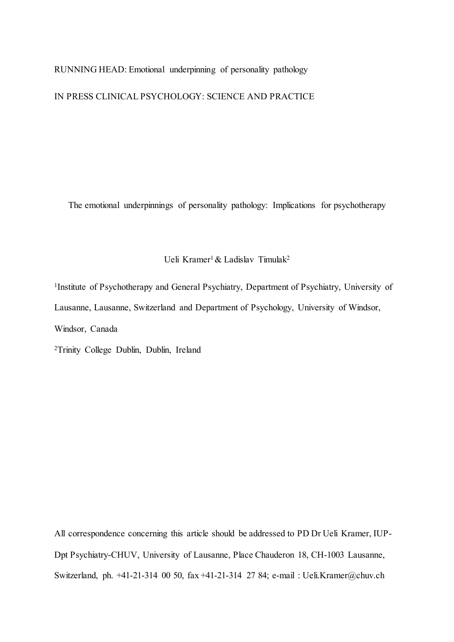RUNNING HEAD: Emotional underpinning of personality pathology

IN PRESS CLINICAL PSYCHOLOGY: SCIENCE AND PRACTICE

The emotional underpinnings of personality pathology: Implications for psychotherapy

Ueli Kramer<sup>1</sup> & Ladislav Timulak<sup>2</sup>

1Institute of Psychotherapy and General Psychiatry, Department of Psychiatry, University of Lausanne, Lausanne, Switzerland and Department of Psychology, University of Windsor, Windsor, Canada

2Trinity College Dublin, Dublin, Ireland

All correspondence concerning this article should be addressed to PD Dr Ueli Kramer, IUP-Dpt Psychiatry-CHUV, University of Lausanne, Place Chauderon 18, CH-1003 Lausanne, Switzerland, ph. +41-21-314 00 50, fax +41-21-314 27 84; e-mail : Ueli.Kramer@chuv.ch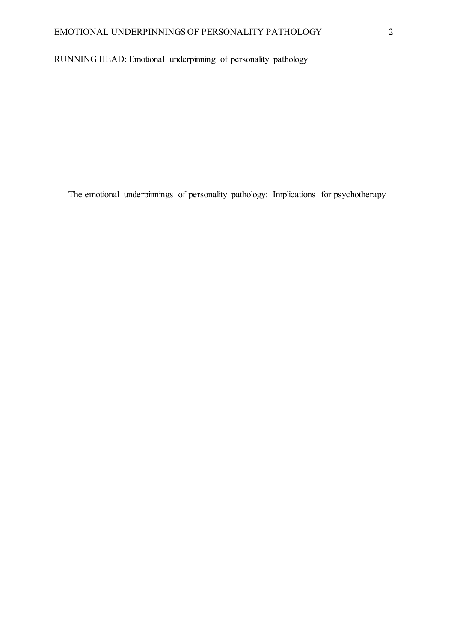RUNNING HEAD: Emotional underpinning of personality pathology

The emotional underpinnings of personality pathology: Implications for psychotherapy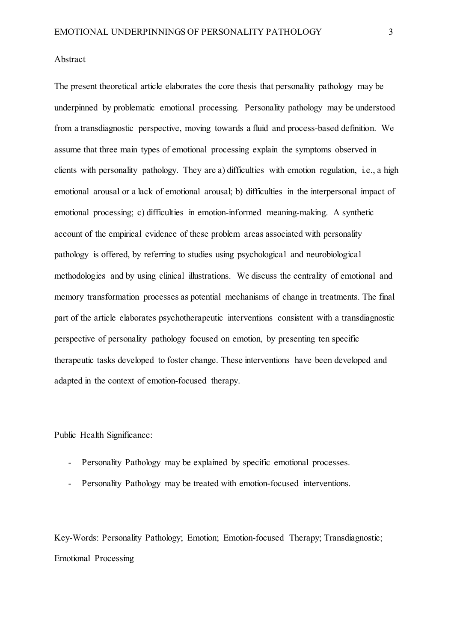### Abstract

The present theoretical article elaborates the core thesis that personality pathology may be underpinned by problematic emotional processing. Personality pathology may be understood from a transdiagnostic perspective, moving towards a fluid and process-based definition. We assume that three main types of emotional processing explain the symptoms observed in clients with personality pathology. They are a) difficulties with emotion regulation, i.e., a high emotional arousal or a lack of emotional arousal; b) difficulties in the interpersonal impact of emotional processing; c) difficulties in emotion-informed meaning-making. A synthetic account of the empirical evidence of these problem areas associated with personality pathology is offered, by referring to studies using psychological and neurobiological methodologies and by using clinical illustrations. We discuss the centrality of emotional and memory transformation processes as potential mechanisms of change in treatments. The final part of the article elaborates psychotherapeutic interventions consistent with a transdiagnostic perspective of personality pathology focused on emotion, by presenting ten specific therapeutic tasks developed to foster change. These interventions have been developed and adapted in the context of emotion-focused therapy.

Public Health Significance:

- Personality Pathology may be explained by specific emotional processes.
- Personality Pathology may be treated with emotion-focused interventions.

Key-Words: Personality Pathology; Emotion; Emotion-focused Therapy; Transdiagnostic; Emotional Processing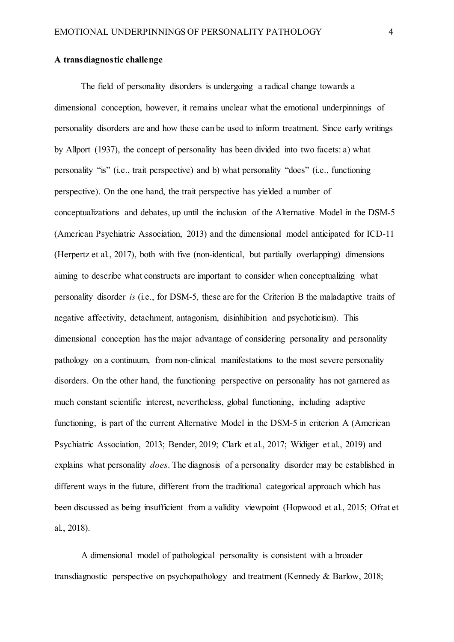#### **A transdiagnostic challenge**

The field of personality disorders is undergoing a radical change towards a dimensional conception, however, it remains unclear what the emotional underpinnings of personality disorders are and how these can be used to inform treatment. Since early writings by Allport (1937), the concept of personality has been divided into two facets: a) what personality "is" (i.e., trait perspective) and b) what personality "does" (i.e., functioning perspective). On the one hand, the trait perspective has yielded a number of conceptualizations and debates, up until the inclusion of the Alternative Model in the DSM-5 (American Psychiatric Association, 2013) and the dimensional model anticipated for ICD-11 (Herpertz et al., 2017), both with five (non-identical, but partially overlapping) dimensions aiming to describe what constructs are important to consider when conceptualizing what personality disorder *is* (i.e., for DSM-5, these are for the Criterion B the maladaptive traits of negative affectivity, detachment, antagonism, disinhibition and psychoticism). This dimensional conception has the major advantage of considering personality and personality pathology on a continuum, from non-clinical manifestations to the most severe personality disorders. On the other hand, the functioning perspective on personality has not garnered as much constant scientific interest, nevertheless, global functioning, including adaptive functioning, is part of the current Alternative Model in the DSM-5 in criterion A (American Psychiatric Association, 2013; Bender, 2019; Clark et al., 2017; Widiger et al., 2019) and explains what personality *does*. The diagnosis of a personality disorder may be established in different ways in the future, different from the traditional categorical approach which has been discussed as being insufficient from a validity viewpoint (Hopwood et al., 2015; Ofrat et al., 2018).

A dimensional model of pathological personality is consistent with a broader transdiagnostic perspective on psychopathology and treatment (Kennedy & Barlow, 2018;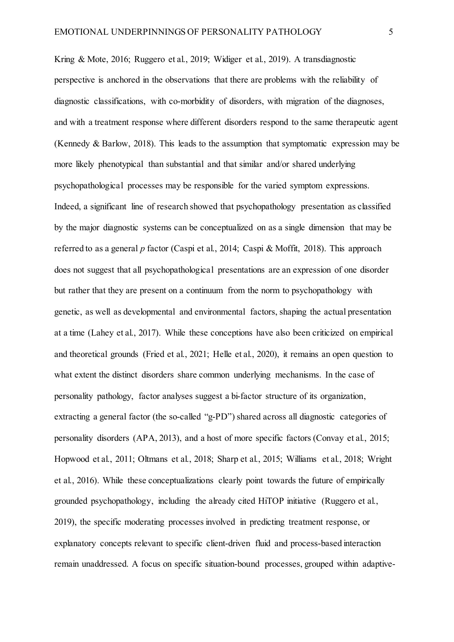Kring & Mote, 2016; Ruggero et al., 2019; Widiger et al., 2019). A transdiagnostic perspective is anchored in the observations that there are problems with the reliability of diagnostic classifications, with co-morbidity of disorders, with migration of the diagnoses, and with a treatment response where different disorders respond to the same therapeutic agent (Kennedy & Barlow, 2018). This leads to the assumption that symptomatic expression may be more likely phenotypical than substantial and that similar and/or shared underlying psychopathological processes may be responsible for the varied symptom expressions. Indeed, a significant line of research showed that psychopathology presentation as classified by the major diagnostic systems can be conceptualized on as a single dimension that may be referred to as a general *p* factor (Caspi et al., 2014; Caspi & Moffit, 2018). This approach does not suggest that all psychopathological presentations are an expression of one disorder but rather that they are present on a continuum from the norm to psychopathology with genetic, as well as developmental and environmental factors, shaping the actual presentation at a time (Lahey et al., 2017). While these conceptions have also been criticized on empirical and theoretical grounds (Fried et al., 2021; Helle et al., 2020), it remains an open question to what extent the distinct disorders share common underlying mechanisms. In the case of personality pathology, factor analyses suggest a bi-factor structure of its organization, extracting a general factor (the so-called "g-PD") shared across all diagnostic categories of personality disorders (APA, 2013), and a host of more specific factors (Convay et al., 2015; Hopwood et al., 2011; Oltmans et al., 2018; Sharp et al., 2015; Williams et al., 2018; Wright et al., 2016). While these conceptualizations clearly point towards the future of empirically grounded psychopathology, including the already cited HiTOP initiative (Ruggero et al., 2019), the specific moderating processes involved in predicting treatment response, or explanatory concepts relevant to specific client-driven fluid and process-based interaction remain unaddressed. A focus on specific situation-bound processes, grouped within adaptive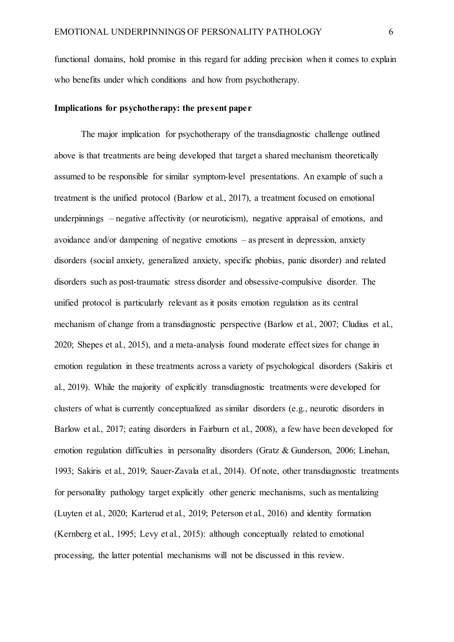functional domains, hold promise in this regard for adding precision when it comes to explain who benefits under which conditions and how from psychotherapy.

# **Implications for psychotherapy: the present paper**

The major implication for psychotherapy of the transdiagnostic challenge outlined above is that treatments are being developed that target a shared mechanism theoretically assumed to be responsible for similar symptom-level presentations. An example of such a treatment is the unified protocol (Barlow et al., 2017), a treatment focused on emotional underpinnings – negative affectivity (or neuroticism), negative appraisal of emotions, and avoidance and/or dampening of negative emotions – as present in depression, anxiety disorders (social anxiety, generalized anxiety, specific phobias, panic disorder) and related disorders such as post-traumatic stress disorder and obsessive-compulsive disorder. The unified protocol is particularly relevant as it posits emotion regulation as its central mechanism of change from a transdiagnostic perspective (Barlow et al., 2007; Cludius et al., 2020; Shepes et al., 2015), and a meta-analysis found moderate effect sizes for change in emotion regulation in these treatments across a variety of psychological disorders (Sakiris et al., 2019). While the majority of explicitly transdiagnostic treatments were developed for clusters of what is currently conceptualized as similar disorders (e.g., neurotic disorders in Barlow et al., 2017; eating disorders in Fairburn et al., 2008), a few have been developed for emotion regulation difficulties in personality disorders (Gratz & Gunderson, 2006; Linehan, 1993; Sakiris et al., 2019; Sauer-Zavala et al., 2014). Of note, other transdiagnostic treatments for personality pathology target explicitly other generic mechanisms, such as mentalizing (Luyten et al., 2020; Karterud et al., 2019; Peterson et al., 2016) and identity formation (Kernberg et al., 1995; Levy et al., 2015): although conceptually related to emotional processing, the latter potential mechanisms will not be discussed in this review.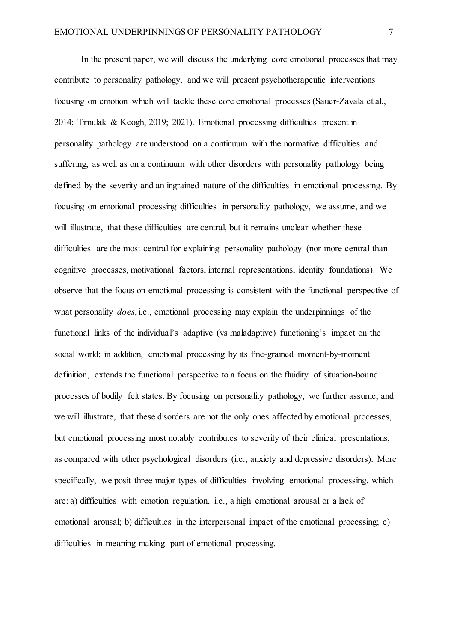In the present paper, we will discuss the underlying core emotional processes that may contribute to personality pathology, and we will present psychotherapeutic interventions focusing on emotion which will tackle these core emotional processes (Sauer-Zavala et al., 2014; Timulak & Keogh, 2019; 2021). Emotional processing difficulties present in personality pathology are understood on a continuum with the normative difficulties and suffering, as well as on a continuum with other disorders with personality pathology being defined by the severity and an ingrained nature of the difficulties in emotional processing. By focusing on emotional processing difficulties in personality pathology, we assume, and we will illustrate, that these difficulties are central, but it remains unclear whether these difficulties are the most central for explaining personality pathology (nor more central than cognitive processes, motivational factors, internal representations, identity foundations). We observe that the focus on emotional processing is consistent with the functional perspective of what personality *does*, i.e., emotional processing may explain the underpinnings of the functional links of the individual's adaptive (vs maladaptive) functioning's impact on the social world; in addition, emotional processing by its fine-grained moment-by-moment definition, extends the functional perspective to a focus on the fluidity of situation-bound processes of bodily felt states. By focusing on personality pathology, we further assume, and we will illustrate, that these disorders are not the only ones affected by emotional processes, but emotional processing most notably contributes to severity of their clinical presentations, as compared with other psychological disorders (i.e., anxiety and depressive disorders). More specifically, we posit three major types of difficulties involving emotional processing, which are: a) difficulties with emotion regulation, i.e., a high emotional arousal or a lack of emotional arousal; b) difficulties in the interpersonal impact of the emotional processing; c) difficulties in meaning-making part of emotional processing.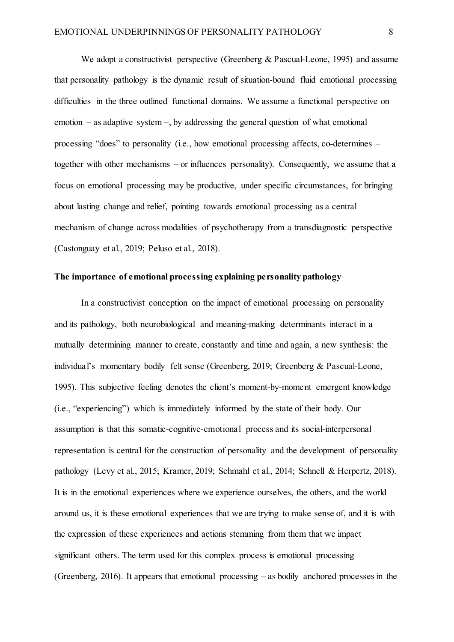We adopt a constructivist perspective (Greenberg & Pascual-Leone, 1995) and assume that personality pathology is the dynamic result of situation-bound fluid emotional processing difficulties in the three outlined functional domains. We assume a functional perspective on emotion – as adaptive system –, by addressing the general question of what emotional processing "does" to personality (i.e., how emotional processing affects, co-determines – together with other mechanisms – or influences personality). Consequently, we assume that a focus on emotional processing may be productive, under specific circumstances, for bringing about lasting change and relief, pointing towards emotional processing as a central mechanism of change across modalities of psychotherapy from a transdiagnostic perspective (Castonguay et al., 2019; Peluso et al., 2018).

#### **The importance of emotional processing explaining personality pathology**

In a constructivist conception on the impact of emotional processing on personality and its pathology, both neurobiological and meaning-making determinants interact in a mutually determining manner to create, constantly and time and again, a new synthesis: the individual's momentary bodily felt sense (Greenberg, 2019; Greenberg & Pascual-Leone, 1995). This subjective feeling denotes the client's moment-by-moment emergent knowledge (i.e., "experiencing") which is immediately informed by the state of their body. Our assumption is that this somatic-cognitive-emotional process and its social-interpersonal representation is central for the construction of personality and the development of personality pathology (Levy et al., 2015; Kramer, 2019; Schmahl et al., 2014; Schnell & Herpertz, 2018). It is in the emotional experiences where we experience ourselves, the others, and the world around us, it is these emotional experiences that we are trying to make sense of, and it is with the expression of these experiences and actions stemming from them that we impact significant others. The term used for this complex process is emotional processing (Greenberg, 2016). It appears that emotional processing – as bodily anchored processes in the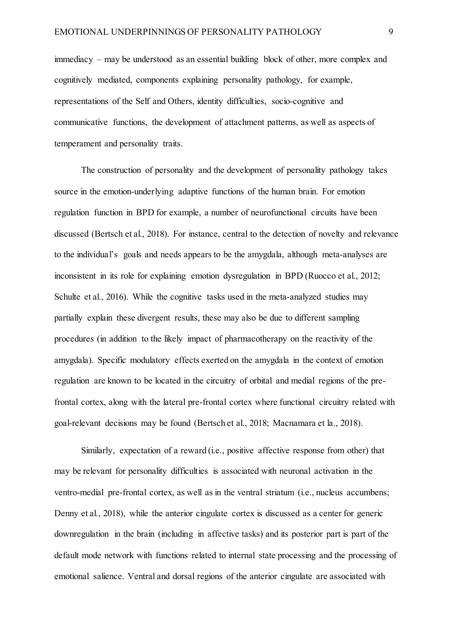immediacy – may be understood as an essential building block of other, more complex and cognitively mediated, components explaining personality pathology, for example, representations of the Self and Others, identity difficulties, socio-cognitive and communicative functions, the development of attachment patterns, as well as aspects of temperament and personality traits.

The construction of personality and the development of personality pathology takes source in the emotion-underlying adaptive functions of the human brain. For emotion regulation function in BPD for example, a number of neurofunctional circuits have been discussed (Bertsch et al., 2018). For instance, central to the detection of novelty and relevance to the individual's goals and needs appears to be the amygdala, although meta-analyses are inconsistent in its role for explaining emotion dysregulation in BPD (Ruocco et al., 2012; Schulte et al., 2016). While the cognitive tasks used in the meta-analyzed studies may partially explain these divergent results, these may also be due to different sampling procedures (in addition to the likely impact of pharmacotherapy on the reactivity of the amygdala). Specific modulatory effects exerted on the amygdala in the context of emotion regulation are known to be located in the circuitry of orbital and medial regions of the prefrontal cortex, along with the lateral pre-frontal cortex where functional circuitry related with goal-relevant decisions may be found (Bertsch et al., 2018; Macnamara et la., 2018).

Similarly, expectation of a reward (i.e., positive affective response from other) that may be relevant for personality difficulties is associated with neuronal activation in the ventro-medial pre-frontal cortex, as well as in the ventral striatum (i.e., nucleus accumbens; Denny et al., 2018), while the anterior cingulate cortex is discussed as a center for generic downregulation in the brain (including in affective tasks) and its posterior part is part of the default mode network with functions related to internal state processing and the processing of emotional salience. Ventral and dorsal regions of the anterior cingulate are associated with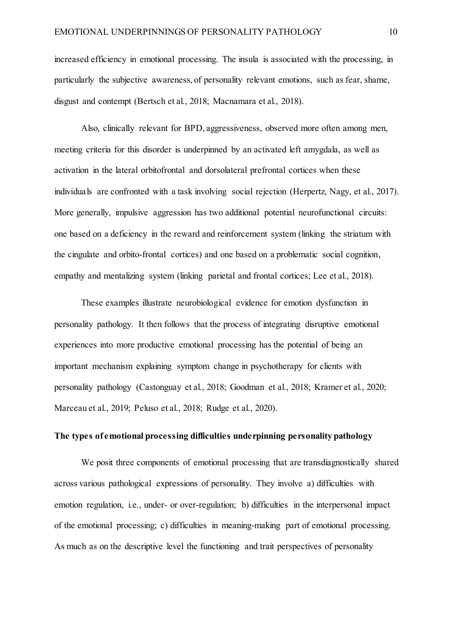increased efficiency in emotional processing. The insula is associated with the processing, in particularly the subjective awareness, of personality relevant emotions, such as fear, shame, disgust and contempt (Bertsch et al., 2018; Macnamara et al., 2018).

Also, clinically relevant for BPD, aggressiveness, observed more often among men, meeting criteria for this disorder is underpinned by an activated left amygdala, as well as activation in the lateral orbitofrontal and dorsolateral prefrontal cortices when these individuals are confronted with a task involving social rejection (Herpertz, Nagy, et al., 2017). More generally, impulsive aggression has two additional potential neurofunctional circuits: one based on a deficiency in the reward and reinforcement system (linking the striatum with the cingulate and orbito-frontal cortices) and one based on a problematic social cognition, empathy and mentalizing system (linking parietal and frontal cortices; Lee et al., 2018).

These examples illustrate neurobiological evidence for emotion dysfunction in personality pathology. It then follows that the process of integrating disruptive emotional experiences into more productive emotional processing has the potential of being an important mechanism explaining symptom change in psychotherapy for clients with personality pathology (Castonguay et al., 2018; Goodman et al., 2018; Kramer et al., 2020; Marceau et al., 2019; Peluso et al., 2018; Rudge et al., 2020).

### **The types of emotional processing difficulties underpinning personality pathology**

We posit three components of emotional processing that are transdiagnostically shared across various pathological expressions of personality. They involve a) difficulties with emotion regulation, i.e., under- or over-regulation; b) difficulties in the interpersonal impact of the emotional processing; c) difficulties in meaning-making part of emotional processing. As much as on the descriptive level the functioning and trait perspectives of personality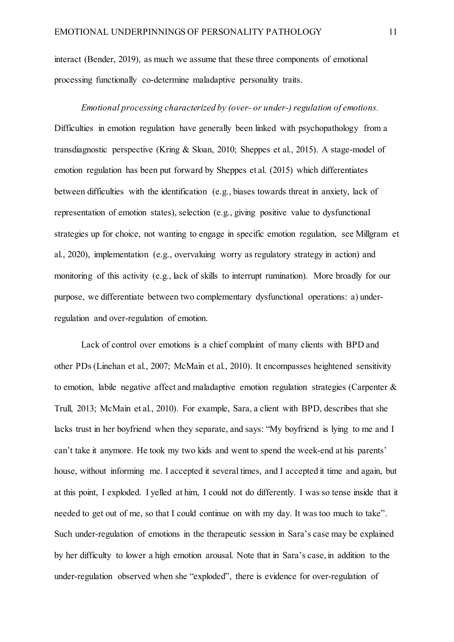interact (Bender, 2019), as much we assume that these three components of emotional processing functionally co-determine maladaptive personality traits.

*Emotional processing characterized by (over- or under-) regulation of emotions.*  Difficulties in emotion regulation have generally been linked with psychopathology from a transdiagnostic perspective (Kring & Sloan, 2010; Sheppes et al., 2015). A stage-model of emotion regulation has been put forward by Sheppes et al. (2015) which differentiates between difficulties with the identification (e.g., biases towards threat in anxiety, lack of representation of emotion states), selection (e.g., giving positive value to dysfunctional strategies up for choice, not wanting to engage in specific emotion regulation, see Millgram et al., 2020), implementation (e.g., overvaluing worry as regulatory strategy in action) and monitoring of this activity (e.g., lack of skills to interrupt rumination). More broadly for our purpose, we differentiate between two complementary dysfunctional operations: a) underregulation and over-regulation of emotion.

Lack of control over emotions is a chief complaint of many clients with BPD and other PDs (Linehan et al., 2007; McMain et al., 2010). It encompasses heightened sensitivity to emotion, labile negative affect and maladaptive emotion regulation strategies (Carpenter & Trull, 2013; McMain et al., 2010). For example, Sara, a client with BPD, describes that she lacks trust in her boyfriend when they separate, and says: "My boyfriend is lying to me and I can't take it anymore. He took my two kids and went to spend the week-end at his parents' house, without informing me. I accepted it several times, and I accepted it time and again, but at this point, I exploded. I yelled at him, I could not do differently. I was so tense inside that it needed to get out of me, so that I could continue on with my day. It was too much to take". Such under-regulation of emotions in the therapeutic session in Sara's case may be explained by her difficulty to lower a high emotion arousal. Note that in Sara's case, in addition to the under-regulation observed when she "exploded", there is evidence for over-regulation of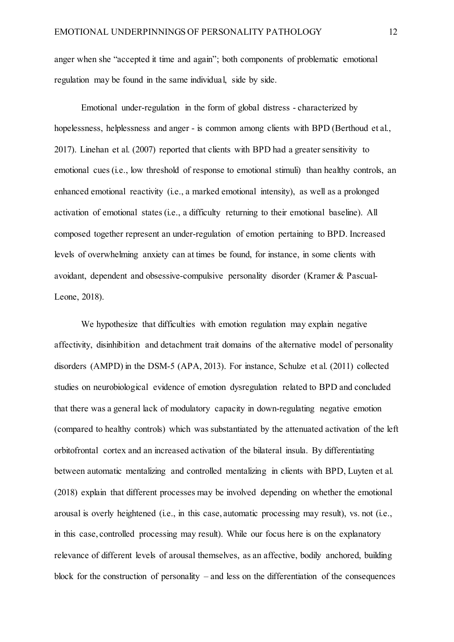anger when she "accepted it time and again"; both components of problematic emotional regulation may be found in the same individual, side by side.

Emotional under-regulation in the form of global distress - characterized by hopelessness, helplessness and anger - is common among clients with BPD (Berthoud et al., 2017). Linehan et al. (2007) reported that clients with BPD had a greater sensitivity to emotional cues (i.e., low threshold of response to emotional stimuli) than healthy controls, an enhanced emotional reactivity (i.e., a marked emotional intensity), as well as a prolonged activation of emotional states (i.e., a difficulty returning to their emotional baseline). All composed together represent an under-regulation of emotion pertaining to BPD. Increased levels of overwhelming anxiety can at times be found, for instance, in some clients with avoidant, dependent and obsessive-compulsive personality disorder (Kramer & Pascual-Leone, 2018).

We hypothesize that difficulties with emotion regulation may explain negative affectivity, disinhibition and detachment trait domains of the alternative model of personality disorders (AMPD) in the DSM-5 (APA, 2013). For instance, Schulze et al. (2011) collected studies on neurobiological evidence of emotion dysregulation related to BPD and concluded that there was a general lack of modulatory capacity in down-regulating negative emotion (compared to healthy controls) which was substantiated by the attenuated activation of the left orbitofrontal cortex and an increased activation of the bilateral insula. By differentiating between automatic mentalizing and controlled mentalizing in clients with BPD, Luyten et al. (2018) explain that different processes may be involved depending on whether the emotional arousal is overly heightened (i.e., in this case, automatic processing may result), vs. not (i.e., in this case, controlled processing may result). While our focus here is on the explanatory relevance of different levels of arousal themselves, as an affective, bodily anchored, building block for the construction of personality – and less on the differentiation of the consequences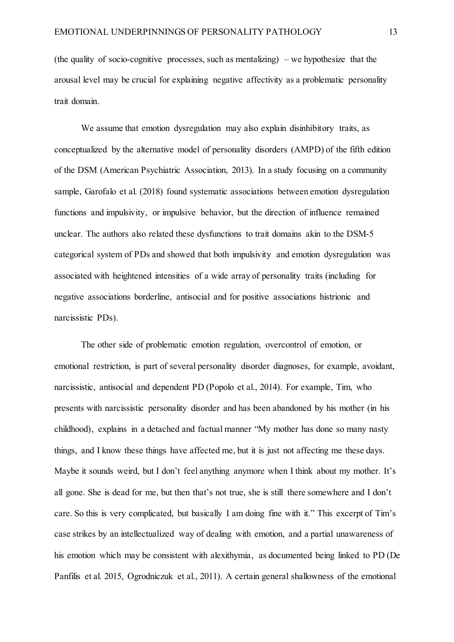(the quality of socio-cognitive processes, such as mentalizing) – we hypothesize that the arousal level may be crucial for explaining negative affectivity as a problematic personality trait domain.

We assume that emotion dysregulation may also explain disinhibitory traits, as conceptualized by the alternative model of personality disorders (AMPD) of the fifth edition of the DSM (American Psychiatric Association, 2013). In a study focusing on a community sample, Garofalo et al. (2018) found systematic associations between emotion dysregulation functions and impulsivity, or impulsive behavior, but the direction of influence remained unclear. The authors also related these dysfunctions to trait domains akin to the DSM-5 categorical system of PDs and showed that both impulsivity and emotion dysregulation was associated with heightened intensities of a wide array of personality traits (including for negative associations borderline, antisocial and for positive associations histrionic and narcissistic PDs).

The other side of problematic emotion regulation, overcontrol of emotion, or emotional restriction, is part of several personality disorder diagnoses, for example, avoidant, narcissistic, antisocial and dependent PD (Popolo et al., 2014). For example, Tim, who presents with narcissistic personality disorder and has been abandoned by his mother (in his childhood), explains in a detached and factual manner "My mother has done so many nasty things, and I know these things have affected me, but it is just not affecting me these days. Maybe it sounds weird, but I don't feel anything anymore when I think about my mother. It's all gone. She is dead for me, but then that's not true, she is still there somewhere and I don't care. So this is very complicated, but basically I am doing fine with it." This excerpt of Tim's case strikes by an intellectualized way of dealing with emotion, and a partial unawareness of his emotion which may be consistent with alexithymia, as documented being linked to PD (De Panfilis et al. 2015, Ogrodniczuk et al., 2011). A certain general shallowness of the emotional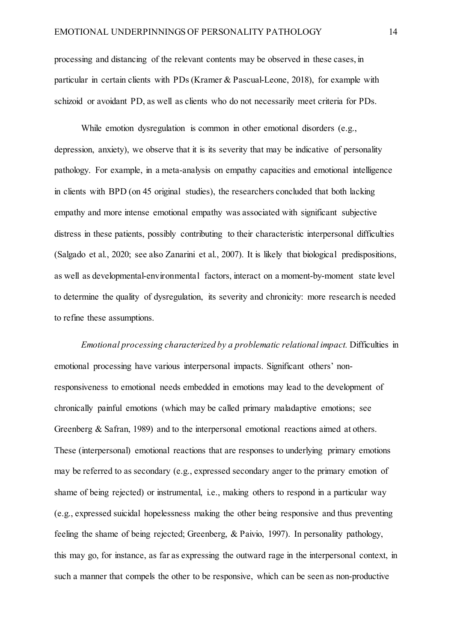processing and distancing of the relevant contents may be observed in these cases, in particular in certain clients with PDs (Kramer & Pascual-Leone, 2018), for example with schizoid or avoidant PD, as well as clients who do not necessarily meet criteria for PDs.

While emotion dysregulation is common in other emotional disorders (e.g., depression, anxiety), we observe that it is its severity that may be indicative of personality pathology. For example, in a meta-analysis on empathy capacities and emotional intelligence in clients with BPD (on 45 original studies), the researchers concluded that both lacking empathy and more intense emotional empathy was associated with significant subjective distress in these patients, possibly contributing to their characteristic interpersonal difficulties (Salgado et al., 2020; see also Zanarini et al., 2007). It is likely that biological predispositions, as well as developmental-environmental factors, interact on a moment-by-moment state level to determine the quality of dysregulation, its severity and chronicity: more research is needed to refine these assumptions.

*Emotional processing characterized by a problematic relational impact.* Difficulties in emotional processing have various interpersonal impacts. Significant others' nonresponsiveness to emotional needs embedded in emotions may lead to the development of chronically painful emotions (which may be called primary maladaptive emotions; see Greenberg & Safran, 1989) and to the interpersonal emotional reactions aimed at others. These (interpersonal) emotional reactions that are responses to underlying primary emotions may be referred to as secondary (e.g., expressed secondary anger to the primary emotion of shame of being rejected) or instrumental, i.e., making others to respond in a particular way (e.g., expressed suicidal hopelessness making the other being responsive and thus preventing feeling the shame of being rejected; Greenberg, & Paivio, 1997). In personality pathology, this may go, for instance, as far as expressing the outward rage in the interpersonal context, in such a manner that compels the other to be responsive, which can be seen as non-productive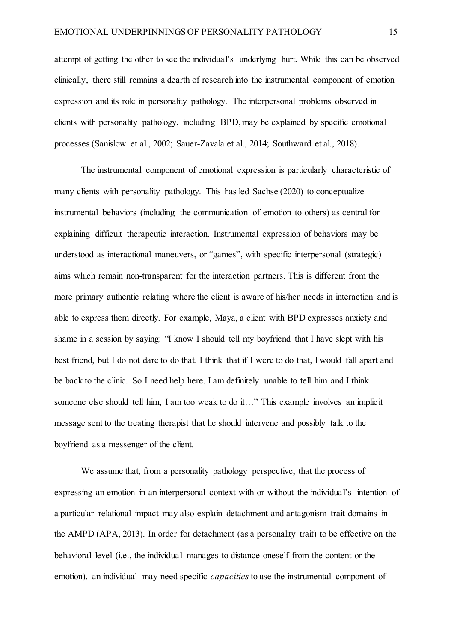attempt of getting the other to see the individual's underlying hurt. While this can be observed clinically, there still remains a dearth of research into the instrumental component of emotion expression and its role in personality pathology. The interpersonal problems observed in clients with personality pathology, including BPD, may be explained by specific emotional processes (Sanislow et al., 2002; Sauer-Zavala et al., 2014; Southward et al., 2018).

The instrumental component of emotional expression is particularly characteristic of many clients with personality pathology. This has led Sachse (2020) to conceptualize instrumental behaviors (including the communication of emotion to others) as central for explaining difficult therapeutic interaction. Instrumental expression of behaviors may be understood as interactional maneuvers, or "games", with specific interpersonal (strategic) aims which remain non-transparent for the interaction partners. This is different from the more primary authentic relating where the client is aware of his/her needs in interaction and is able to express them directly. For example, Maya, a client with BPD expresses anxiety and shame in a session by saying: "I know I should tell my boyfriend that I have slept with his best friend, but I do not dare to do that. I think that if I were to do that, I would fall apart and be back to the clinic. So I need help here. I am definitely unable to tell him and I think someone else should tell him, I am too weak to do it…" This example involves an implicit message sent to the treating therapist that he should intervene and possibly talk to the boyfriend as a messenger of the client.

We assume that, from a personality pathology perspective, that the process of expressing an emotion in an interpersonal context with or without the individual's intention of a particular relational impact may also explain detachment and antagonism trait domains in the AMPD (APA, 2013). In order for detachment (as a personality trait) to be effective on the behavioral level (i.e., the individual manages to distance oneself from the content or the emotion), an individual may need specific *capacities* to use the instrumental component of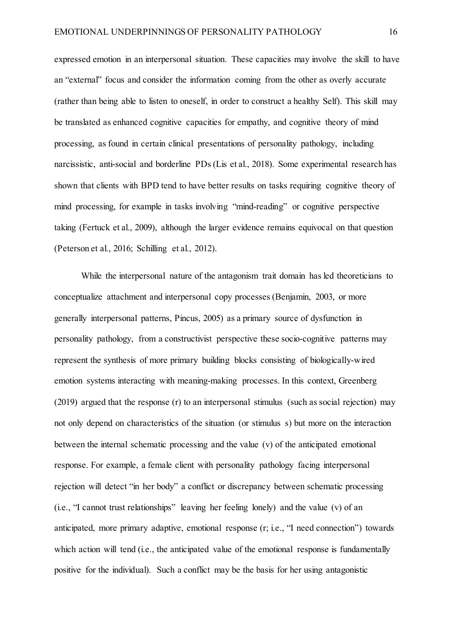expressed emotion in an interpersonal situation. These capacities may involve the skill to have an "external" focus and consider the information coming from the other as overly accurate (rather than being able to listen to oneself, in order to construct a healthy Self). This skill may be translated as enhanced cognitive capacities for empathy, and cognitive theory of mind processing, as found in certain clinical presentations of personality pathology, including narcissistic, anti-social and borderline PDs (Lis et al., 2018). Some experimental research has shown that clients with BPD tend to have better results on tasks requiring cognitive theory of mind processing, for example in tasks involving "mind-reading" or cognitive perspective taking (Fertuck et al., 2009), although the larger evidence remains equivocal on that question (Peterson et al., 2016; Schilling et al., 2012).

While the interpersonal nature of the antagonism trait domain has led theoreticians to conceptualize attachment and interpersonal copy processes (Benjamin, 2003, or more generally interpersonal patterns, Pincus, 2005) as a primary source of dysfunction in personality pathology, from a constructivist perspective these socio-cognitive patterns may represent the synthesis of more primary building blocks consisting of biologically-wired emotion systems interacting with meaning-making processes. In this context, Greenberg (2019) argued that the response (r) to an interpersonal stimulus (such as social rejection) may not only depend on characteristics of the situation (or stimulus s) but more on the interaction between the internal schematic processing and the value (v) of the anticipated emotional response. For example, a female client with personality pathology facing interpersonal rejection will detect "in her body" a conflict or discrepancy between schematic processing (i.e., "I cannot trust relationships" leaving her feeling lonely) and the value (v) of an anticipated, more primary adaptive, emotional response (r; i.e., "I need connection") towards which action will tend (i.e., the anticipated value of the emotional response is fundamentally positive for the individual). Such a conflict may be the basis for her using antagonistic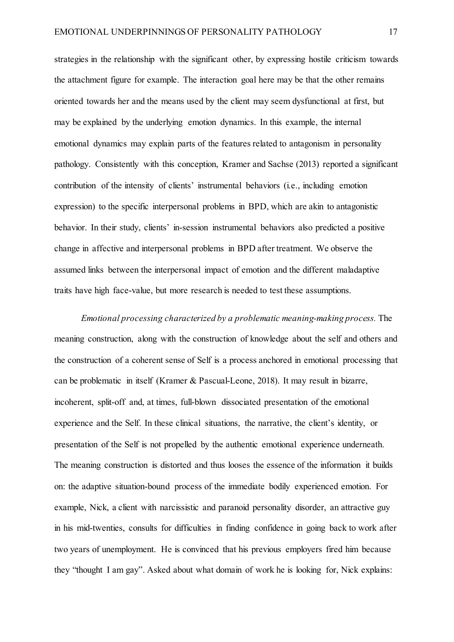strategies in the relationship with the significant other, by expressing hostile criticism towards the attachment figure for example. The interaction goal here may be that the other remains oriented towards her and the means used by the client may seem dysfunctional at first, but may be explained by the underlying emotion dynamics. In this example, the internal emotional dynamics may explain parts of the features related to antagonism in personality pathology. Consistently with this conception, Kramer and Sachse (2013) reported a significant contribution of the intensity of clients' instrumental behaviors (i.e., including emotion expression) to the specific interpersonal problems in BPD, which are akin to antagonistic behavior. In their study, clients' in-session instrumental behaviors also predicted a positive change in affective and interpersonal problems in BPD after treatment. We observe the assumed links between the interpersonal impact of emotion and the different maladaptive traits have high face-value, but more research is needed to test these assumptions.

*Emotional processing characterized by a problematic meaning-making process.* The meaning construction, along with the construction of knowledge about the self and others and the construction of a coherent sense of Self is a process anchored in emotional processing that can be problematic in itself (Kramer & Pascual-Leone, 2018). It may result in bizarre, incoherent, split-off and, at times, full-blown dissociated presentation of the emotional experience and the Self. In these clinical situations, the narrative, the client's identity, or presentation of the Self is not propelled by the authentic emotional experience underneath. The meaning construction is distorted and thus looses the essence of the information it builds on: the adaptive situation-bound process of the immediate bodily experienced emotion. For example, Nick, a client with narcissistic and paranoid personality disorder, an attractive guy in his mid-twenties, consults for difficulties in finding confidence in going back to work after two years of unemployment. He is convinced that his previous employers fired him because they "thought I am gay". Asked about what domain of work he is looking for, Nick explains: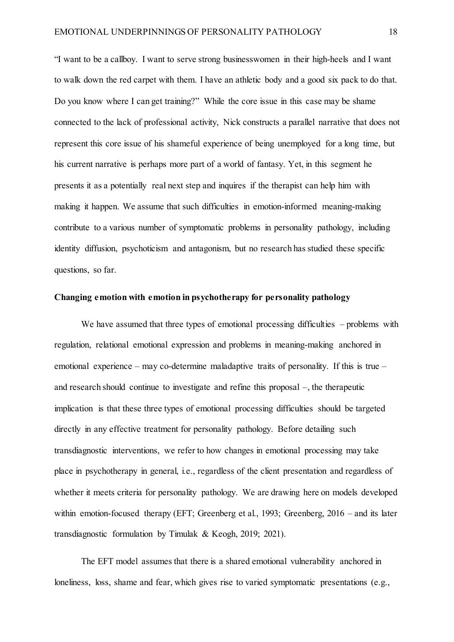"I want to be a callboy. I want to serve strong businesswomen in their high-heels and I want to walk down the red carpet with them. I have an athletic body and a good six pack to do that. Do you know where I can get training?" While the core issue in this case may be shame connected to the lack of professional activity, Nick constructs a parallel narrative that does not represent this core issue of his shameful experience of being unemployed for a long time, but his current narrative is perhaps more part of a world of fantasy. Yet, in this segment he presents it as a potentially real next step and inquires if the therapist can help him with making it happen. We assume that such difficulties in emotion-informed meaning-making contribute to a various number of symptomatic problems in personality pathology, including identity diffusion, psychoticism and antagonism, but no research has studied these specific questions, so far.

# **Changing emotion with emotion in psychotherapy for personality pathology**

We have assumed that three types of emotional processing difficulties – problems with regulation, relational emotional expression and problems in meaning-making anchored in emotional experience – may co-determine maladaptive traits of personality. If this is true – and research should continue to investigate and refine this proposal –, the therapeutic implication is that these three types of emotional processing difficulties should be targeted directly in any effective treatment for personality pathology. Before detailing such transdiagnostic interventions, we refer to how changes in emotional processing may take place in psychotherapy in general, i.e., regardless of the client presentation and regardless of whether it meets criteria for personality pathology. We are drawing here on models developed within emotion-focused therapy (EFT; Greenberg et al., 1993; Greenberg, 2016 – and its later transdiagnostic formulation by Timulak & Keogh, 2019; 2021).

The EFT model assumes that there is a shared emotional vulnerability anchored in loneliness, loss, shame and fear, which gives rise to varied symptomatic presentations (e.g.,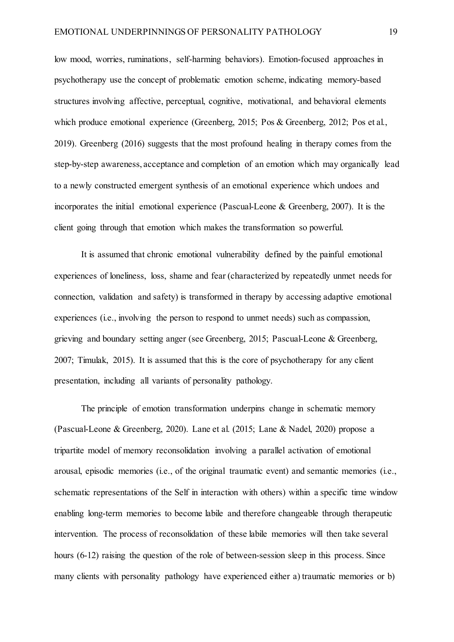low mood, worries, ruminations, self-harming behaviors). Emotion-focused approaches in psychotherapy use the concept of problematic emotion scheme, indicating memory-based structures involving affective, perceptual, cognitive, motivational, and behavioral elements which produce emotional experience (Greenberg, 2015; Pos & Greenberg, 2012; Pos et al., 2019). Greenberg (2016) suggests that the most profound healing in therapy comes from the step-by-step awareness, acceptance and completion of an emotion which may organically lead to a newly constructed emergent synthesis of an emotional experience which undoes and incorporates the initial emotional experience (Pascual-Leone & Greenberg, 2007). It is the client going through that emotion which makes the transformation so powerful.

It is assumed that chronic emotional vulnerability defined by the painful emotional experiences of loneliness, loss, shame and fear (characterized by repeatedly unmet needs for connection, validation and safety) is transformed in therapy by accessing adaptive emotional experiences (i.e., involving the person to respond to unmet needs) such as compassion, grieving and boundary setting anger (see Greenberg, 2015; Pascual-Leone & Greenberg, 2007; Timulak, 2015). It is assumed that this is the core of psychotherapy for any client presentation, including all variants of personality pathology.

The principle of emotion transformation underpins change in schematic memory (Pascual-Leone & Greenberg, 2020). Lane et al. (2015; Lane & Nadel, 2020) propose a tripartite model of memory reconsolidation involving a parallel activation of emotional arousal, episodic memories (i.e., of the original traumatic event) and semantic memories (i.e., schematic representations of the Self in interaction with others) within a specific time window enabling long-term memories to become labile and therefore changeable through therapeutic intervention. The process of reconsolidation of these labile memories will then take several hours (6-12) raising the question of the role of between-session sleep in this process. Since many clients with personality pathology have experienced either a) traumatic memories or b)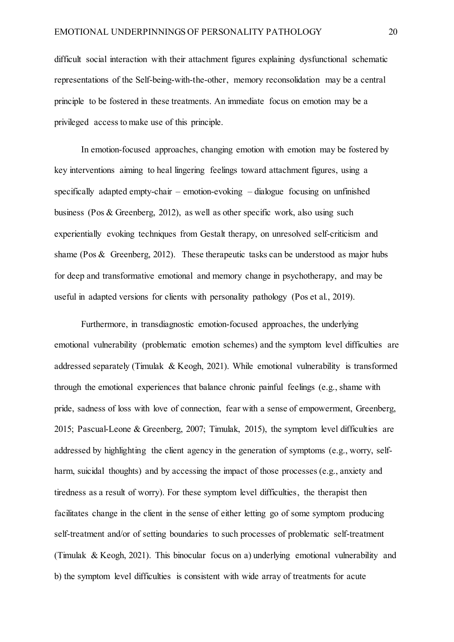difficult social interaction with their attachment figures explaining dysfunctional schematic representations of the Self-being-with-the-other, memory reconsolidation may be a central principle to be fostered in these treatments. An immediate focus on emotion may be a privileged access to make use of this principle.

In emotion-focused approaches, changing emotion with emotion may be fostered by key interventions aiming to heal lingering feelings toward attachment figures, using a specifically adapted empty-chair – emotion-evoking – dialogue focusing on unfinished business (Pos & Greenberg, 2012), as well as other specific work, also using such experientially evoking techniques from Gestalt therapy, on unresolved self-criticism and shame (Pos & Greenberg, 2012). These therapeutic tasks can be understood as major hubs for deep and transformative emotional and memory change in psychotherapy, and may be useful in adapted versions for clients with personality pathology (Pos et al., 2019).

Furthermore, in transdiagnostic emotion-focused approaches, the underlying emotional vulnerability (problematic emotion schemes) and the symptom level difficulties are addressed separately (Timulak & Keogh, 2021). While emotional vulnerability is transformed through the emotional experiences that balance chronic painful feelings (e.g., shame with pride, sadness of loss with love of connection, fear with a sense of empowerment, Greenberg, 2015; Pascual-Leone & Greenberg, 2007; Timulak, 2015), the symptom level difficulties are addressed by highlighting the client agency in the generation of symptoms (e.g., worry, selfharm, suicidal thoughts) and by accessing the impact of those processes (e.g., anxiety and tiredness as a result of worry). For these symptom level difficulties, the therapist then facilitates change in the client in the sense of either letting go of some symptom producing self-treatment and/or of setting boundaries to such processes of problematic self-treatment (Timulak & Keogh, 2021). This binocular focus on a) underlying emotional vulnerability and b) the symptom level difficulties is consistent with wide array of treatments for acute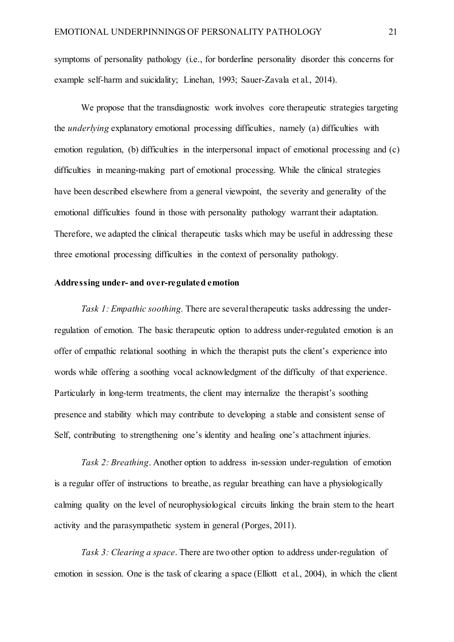symptoms of personality pathology (i.e., for borderline personality disorder this concerns for example self-harm and suicidality; Linehan, 1993; Sauer-Zavala et al., 2014).

We propose that the transdiagnostic work involves core therapeutic strategies targeting the *underlying* explanatory emotional processing difficulties, namely (a) difficulties with emotion regulation, (b) difficulties in the interpersonal impact of emotional processing and (c) difficulties in meaning-making part of emotional processing. While the clinical strategies have been described elsewhere from a general viewpoint, the severity and generality of the emotional difficulties found in those with personality pathology warrant their adaptation. Therefore, we adapted the clinical therapeutic tasks which may be useful in addressing these three emotional processing difficulties in the context of personality pathology.

#### **Addressing under- and over-regulated emotion**

*Task 1: Empathic soothing.* There are several therapeutic tasks addressing the underregulation of emotion. The basic therapeutic option to address under-regulated emotion is an offer of empathic relational soothing in which the therapist puts the client's experience into words while offering a soothing vocal acknowledgment of the difficulty of that experience. Particularly in long-term treatments, the client may internalize the therapist's soothing presence and stability which may contribute to developing a stable and consistent sense of Self, contributing to strengthening one's identity and healing one's attachment injuries.

*Task 2: Breathing*. Another option to address in-session under-regulation of emotion is a regular offer of instructions to breathe, as regular breathing can have a physiologically calming quality on the level of neurophysiological circuits linking the brain stem to the heart activity and the parasympathetic system in general (Porges, 2011).

*Task 3: Clearing a space*. There are two other option to address under-regulation of emotion in session. One is the task of clearing a space (Elliott et al., 2004), in which the client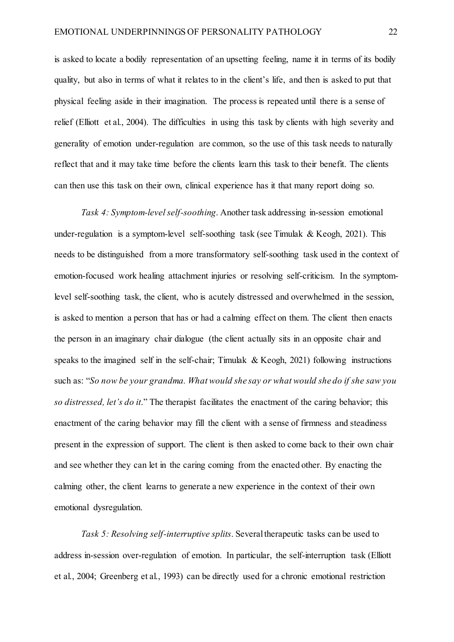is asked to locate a bodily representation of an upsetting feeling, name it in terms of its bodily quality, but also in terms of what it relates to in the client's life, and then is asked to put that physical feeling aside in their imagination. The process is repeated until there is a sense of relief (Elliott et al., 2004). The difficulties in using this task by clients with high severity and generality of emotion under-regulation are common, so the use of this task needs to naturally reflect that and it may take time before the clients learn this task to their benefit. The clients can then use this task on their own, clinical experience has it that many report doing so.

*Task 4: Symptom-level self-soothing*. Another task addressing in-session emotional under-regulation is a symptom-level self-soothing task (see Timulak  $& Keogh, 2021$ ). This needs to be distinguished from a more transformatory self-soothing task used in the context of emotion-focused work healing attachment injuries or resolving self-criticism. In the symptomlevel self-soothing task, the client, who is acutely distressed and overwhelmed in the session, is asked to mention a person that has or had a calming effect on them. The client then enacts the person in an imaginary chair dialogue (the client actually sits in an opposite chair and speaks to the imagined self in the self-chair; Timulak & Keogh,  $2021$ ) following instructions such as: "*So now be your grandma. What would she say or what would she do if she saw you so distressed, let's do it*." The therapist facilitates the enactment of the caring behavior; this enactment of the caring behavior may fill the client with a sense of firmness and steadiness present in the expression of support. The client is then asked to come back to their own chair and see whether they can let in the caring coming from the enacted other. By enacting the calming other, the client learns to generate a new experience in the context of their own emotional dysregulation.

*Task 5: Resolving self-interruptive splits*. Several therapeutic tasks can be used to address in-session over-regulation of emotion. In particular, the self-interruption task (Elliott et al., 2004; Greenberg et al., 1993) can be directly used for a chronic emotional restriction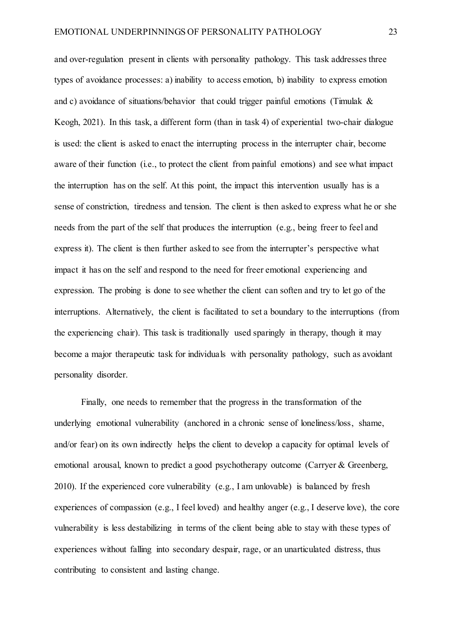and over-regulation present in clients with personality pathology. This task addresses three types of avoidance processes: a) inability to access emotion, b) inability to express emotion and c) avoidance of situations/behavior that could trigger painful emotions (Timulak & Keogh, 2021). In this task, a different form (than in task 4) of experiential two-chair dialogue is used: the client is asked to enact the interrupting process in the interrupter chair, become aware of their function (i.e., to protect the client from painful emotions) and see what impact the interruption has on the self. At this point, the impact this intervention usually has is a sense of constriction, tiredness and tension. The client is then asked to express what he or she needs from the part of the self that produces the interruption (e.g., being freer to feel and express it). The client is then further asked to see from the interrupter's perspective what impact it has on the self and respond to the need for freer emotional experiencing and expression. The probing is done to see whether the client can soften and try to let go of the interruptions. Alternatively, the client is facilitated to set a boundary to the interruptions (from the experiencing chair). This task is traditionally used sparingly in therapy, though it may become a major therapeutic task for individuals with personality pathology, such as avoidant personality disorder.

Finally, one needs to remember that the progress in the transformation of the underlying emotional vulnerability (anchored in a chronic sense of loneliness/loss, shame, and/or fear) on its own indirectly helps the client to develop a capacity for optimal levels of emotional arousal, known to predict a good psychotherapy outcome (Carryer & Greenberg, 2010). If the experienced core vulnerability (e.g., I am unlovable) is balanced by fresh experiences of compassion (e.g., I feel loved) and healthy anger (e.g., I deserve love), the core vulnerability is less destabilizing in terms of the client being able to stay with these types of experiences without falling into secondary despair, rage, or an unarticulated distress, thus contributing to consistent and lasting change.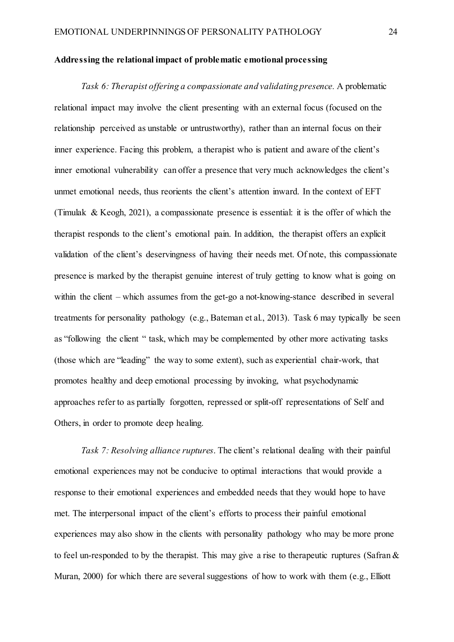#### **Addressing the relational impact of problematic emotional processing**

*Task 6: Therapist offering a compassionate and validating presence.* A problematic relational impact may involve the client presenting with an external focus (focused on the relationship perceived as unstable or untrustworthy), rather than an internal focus on their inner experience. Facing this problem, a therapist who is patient and aware of the client's inner emotional vulnerability can offer a presence that very much acknowledges the client's unmet emotional needs, thus reorients the client's attention inward. In the context of EFT (Timulak & Keogh, 2021), a compassionate presence is essential: it is the offer of which the therapist responds to the client's emotional pain. In addition, the therapist offers an explicit validation of the client's deservingness of having their needs met. Of note, this compassionate presence is marked by the therapist genuine interest of truly getting to know what is going on within the client – which assumes from the get-go a not-knowing-stance described in several treatments for personality pathology (e.g., Bateman et al., 2013). Task 6 may typically be seen as "following the client " task, which may be complemented by other more activating tasks (those which are "leading" the way to some extent), such as experiential chair-work, that promotes healthy and deep emotional processing by invoking, what psychodynamic approaches refer to as partially forgotten, repressed or split-off representations of Self and Others, in order to promote deep healing.

*Task 7: Resolving alliance ruptures*. The client's relational dealing with their painful emotional experiences may not be conducive to optimal interactions that would provide a response to their emotional experiences and embedded needs that they would hope to have met. The interpersonal impact of the client's efforts to process their painful emotional experiences may also show in the clients with personality pathology who may be more prone to feel un-responded to by the therapist. This may give a rise to therapeutic ruptures (Safran & Muran, 2000) for which there are several suggestions of how to work with them (e.g., Elliott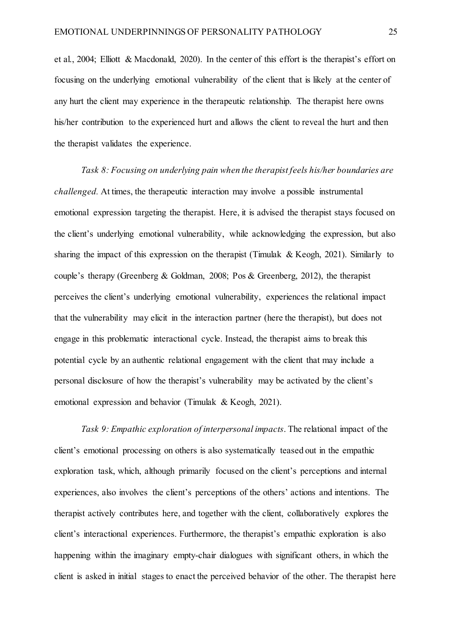et al., 2004; Elliott & Macdonald, 2020). In the center of this effort is the therapist's effort on focusing on the underlying emotional vulnerability of the client that is likely at the center of any hurt the client may experience in the therapeutic relationship. The therapist here owns his/her contribution to the experienced hurt and allows the client to reveal the hurt and then the therapist validates the experience.

*Task 8: Focusing on underlying pain when the therapist feels his/her boundaries are challenged.* At times, the therapeutic interaction may involve a possible instrumental emotional expression targeting the therapist. Here, it is advised the therapist stays focused on the client's underlying emotional vulnerability, while acknowledging the expression, but also sharing the impact of this expression on the therapist (Timulak & Keogh, 2021). Similarly to couple's therapy (Greenberg & Goldman, 2008; Pos & Greenberg, 2012), the therapist perceives the client's underlying emotional vulnerability, experiences the relational impact that the vulnerability may elicit in the interaction partner (here the therapist), but does not engage in this problematic interactional cycle. Instead, the therapist aims to break this potential cycle by an authentic relational engagement with the client that may include a personal disclosure of how the therapist's vulnerability may be activated by the client's emotional expression and behavior (Timulak & Keogh, 2021).

*Task 9: Empathic exploration of interpersonal impacts*. The relational impact of the client's emotional processing on others is also systematically teased out in the empathic exploration task, which, although primarily focused on the client's perceptions and internal experiences, also involves the client's perceptions of the others' actions and intentions. The therapist actively contributes here, and together with the client, collaboratively explores the client's interactional experiences. Furthermore, the therapist's empathic exploration is also happening within the imaginary empty-chair dialogues with significant others, in which the client is asked in initial stages to enact the perceived behavior of the other. The therapist here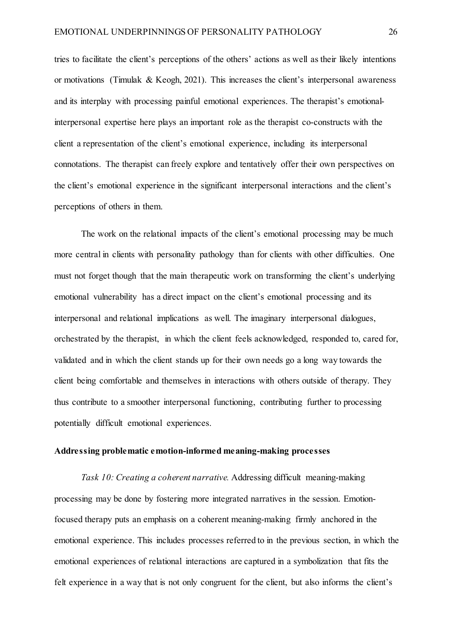tries to facilitate the client's perceptions of the others' actions as well as their likely intentions or motivations (Timulak & Keogh, 2021). This increases the client's interpersonal awareness and its interplay with processing painful emotional experiences. The therapist's emotionalinterpersonal expertise here plays an important role as the therapist co-constructs with the client a representation of the client's emotional experience, including its interpersonal connotations. The therapist can freely explore and tentatively offer their own perspectives on the client's emotional experience in the significant interpersonal interactions and the client's perceptions of others in them.

The work on the relational impacts of the client's emotional processing may be much more central in clients with personality pathology than for clients with other difficulties. One must not forget though that the main therapeutic work on transforming the client's underlying emotional vulnerability has a direct impact on the client's emotional processing and its interpersonal and relational implications as well. The imaginary interpersonal dialogues, orchestrated by the therapist, in which the client feels acknowledged, responded to, cared for, validated and in which the client stands up for their own needs go a long way towards the client being comfortable and themselves in interactions with others outside of therapy. They thus contribute to a smoother interpersonal functioning, contributing further to processing potentially difficult emotional experiences.

#### **Addressing problematic emotion-informed meaning-making processes**

*Task 10: Creating a coherent narrative.* Addressing difficult meaning-making processing may be done by fostering more integrated narratives in the session. Emotionfocused therapy puts an emphasis on a coherent meaning-making firmly anchored in the emotional experience. This includes processes referred to in the previous section, in which the emotional experiences of relational interactions are captured in a symbolization that fits the felt experience in a way that is not only congruent for the client, but also informs the client's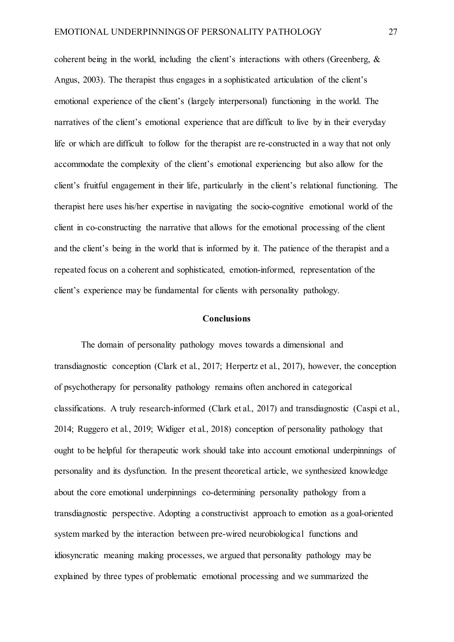coherent being in the world, including the client's interactions with others (Greenberg, & Angus, 2003). The therapist thus engages in a sophisticated articulation of the client's emotional experience of the client's (largely interpersonal) functioning in the world. The narratives of the client's emotional experience that are difficult to live by in their everyday life or which are difficult to follow for the therapist are re-constructed in a way that not only accommodate the complexity of the client's emotional experiencing but also allow for the client's fruitful engagement in their life, particularly in the client's relational functioning. The therapist here uses his/her expertise in navigating the socio-cognitive emotional world of the client in co-constructing the narrative that allows for the emotional processing of the client and the client's being in the world that is informed by it. The patience of the therapist and a repeated focus on a coherent and sophisticated, emotion-informed, representation of the client's experience may be fundamental for clients with personality pathology.

#### **Conclusions**

The domain of personality pathology moves towards a dimensional and transdiagnostic conception (Clark et al., 2017; Herpertz et al., 2017), however, the conception of psychotherapy for personality pathology remains often anchored in categorical classifications. A truly research-informed (Clark et al., 2017) and transdiagnostic (Caspi et al., 2014; Ruggero et al., 2019; Widiger et al., 2018) conception of personality pathology that ought to be helpful for therapeutic work should take into account emotional underpinnings of personality and its dysfunction. In the present theoretical article, we synthesized knowledge about the core emotional underpinnings co-determining personality pathology from a transdiagnostic perspective. Adopting a constructivist approach to emotion as a goal-oriented system marked by the interaction between pre-wired neurobiological functions and idiosyncratic meaning making processes, we argued that personality pathology may be explained by three types of problematic emotional processing and we summarized the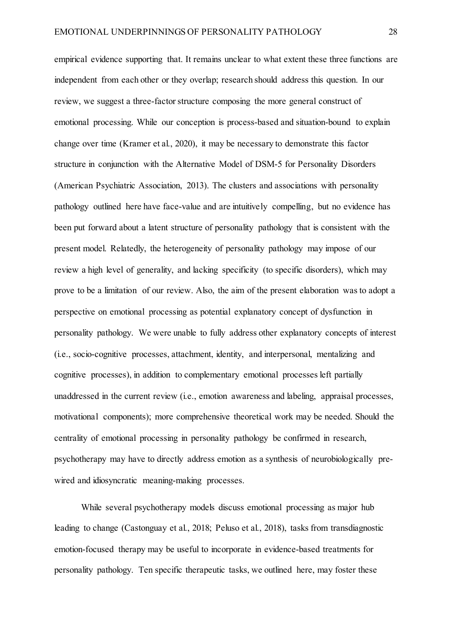empirical evidence supporting that. It remains unclear to what extent these three functions are independent from each other or they overlap; research should address this question. In our review, we suggest a three-factor structure composing the more general construct of emotional processing. While our conception is process-based and situation-bound to explain change over time (Kramer et al., 2020), it may be necessary to demonstrate this factor structure in conjunction with the Alternative Model of DSM-5 for Personality Disorders (American Psychiatric Association, 2013). The clusters and associations with personality pathology outlined here have face-value and are intuitively compelling, but no evidence has been put forward about a latent structure of personality pathology that is consistent with the present model. Relatedly, the heterogeneity of personality pathology may impose of our review a high level of generality, and lacking specificity (to specific disorders), which may prove to be a limitation of our review. Also, the aim of the present elaboration was to adopt a perspective on emotional processing as potential explanatory concept of dysfunction in personality pathology. We were unable to fully address other explanatory concepts of interest (i.e., socio-cognitive processes, attachment, identity, and interpersonal, mentalizing and cognitive processes), in addition to complementary emotional processes left partially unaddressed in the current review (i.e., emotion awareness and labeling, appraisal processes, motivational components); more comprehensive theoretical work may be needed. Should the centrality of emotional processing in personality pathology be confirmed in research, psychotherapy may have to directly address emotion as a synthesis of neurobiologically prewired and idiosyncratic meaning-making processes.

While several psychotherapy models discuss emotional processing as major hub leading to change (Castonguay et al., 2018; Peluso et al., 2018), tasks from transdiagnostic emotion-focused therapy may be useful to incorporate in evidence-based treatments for personality pathology. Ten specific therapeutic tasks, we outlined here, may foster these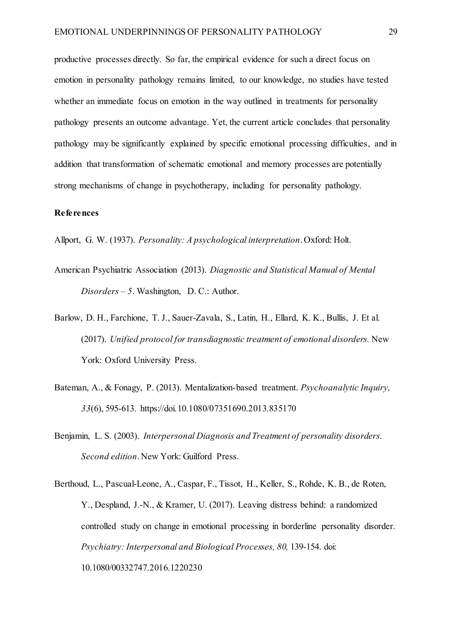productive processes directly. So far, the empirical evidence for such a direct focus on emotion in personality pathology remains limited, to our knowledge, no studies have tested whether an immediate focus on emotion in the way outlined in treatments for personality pathology presents an outcome advantage. Yet, the current article concludes that personality pathology may be significantly explained by specific emotional processing difficulties, and in addition that transformation of schematic emotional and memory processes are potentially strong mechanisms of change in psychotherapy, including for personality pathology.

# **References**

Allport, G. W. (1937). *Personality: A psychological interpretation*. Oxford: Holt.

- American Psychiatric Association (2013). *Diagnostic and Statistical Manual of Mental Disorders – 5*. Washington, D. C.: Author.
- Barlow, D. H., Farchione, T. J., Sauer-Zavala, S., Latin, H., Ellard, K. K., Bullis, J. Et al. (2017). *Unified protocol for transdiagnostic treatment of emotional disorders.* New York: Oxford University Press.
- Bateman, A., & Fonagy, P. (2013). Mentalization-based treatment. *Psychoanalytic Inquiry, 33*(6), 595-613. https://doi.10.1080/07351690.2013.835170
- Benjamin, L. S. (2003). *Interpersonal Diagnosis and Treatment of personality disorders. Second edition*. New York: Guilford Press.
- Berthoud, L., Pascual-Leone, A., Caspar, F., Tissot, H., Keller, S., Rohde, K. B., de Roten, Y., Despland, J.-N., & Kramer, U. (2017). Leaving distress behind: a randomized controlled study on change in emotional processing in borderline personality disorder. *Psychiatry: Interpersonal and Biological Processes, 80, 139-154. doi:* 10.1080/00332747.2016.1220230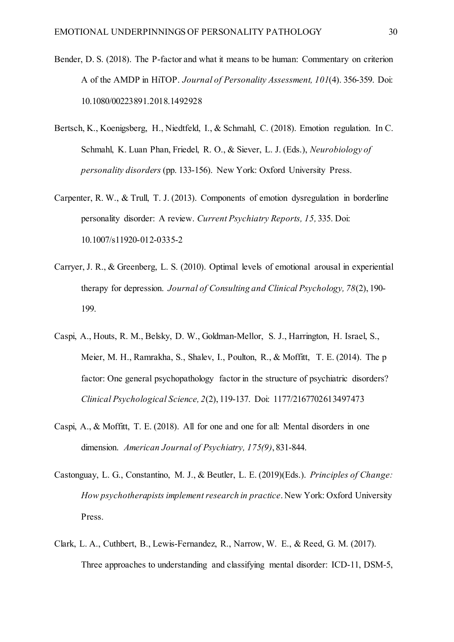- Bender, D. S. (2018). The P-factor and what it means to be human: Commentary on criterion A of the AMDP in HiTOP. *Journal of Personality Assessment, 101*(4). 356-359. Doi: 10.1080/00223891.2018.1492928
- Bertsch, K., Koenigsberg, H., Niedtfeld, I., & Schmahl, C. (2018). Emotion regulation. In C. Schmahl, K. Luan Phan, Friedel, R. O., & Siever, L. J. (Eds.), *Neurobiology of personality disorders* (pp. 133-156). New York: Oxford University Press.
- Carpenter, R. W., & Trull, T. J. (2013). Components of emotion dysregulation in borderline personality disorder: A review. *Current Psychiatry Reports, 15,* 335. Doi: 10.1007/s11920-012-0335-2
- Carryer, J. R., & Greenberg, L. S. (2010). Optimal levels of emotional arousal in experiential therapy for depression. *Journal of Consulting and Clinical Psychology, 78*(2), 190- 199.
- Caspi, A., Houts, R. M., Belsky, D. W., Goldman-Mellor, S. J., Harrington, H. Israel, S., Meier, M. H., Ramrakha, S., Shalev, I., Poulton, R., & Moffitt, T. E. (2014). The p factor: One general psychopathology factor in the structure of psychiatric disorders? *Clinical Psychological Science, 2*(2), 119-137. Doi: 1177/2167702613497473
- Caspi, A., & Moffitt, T. E. (2018). All for one and one for all: Mental disorders in one dimension. *American Journal of Psychiatry, 175(9)*, 831-844.
- Castonguay, L. G., Constantino, M. J., & Beutler, L. E. (2019)(Eds.). *Principles of Change: How psychotherapists implement research in practice*. New York: Oxford University Press.
- Clark, L. A., Cuthbert, B., Lewis-Fernandez, R., Narrow, W. E., & Reed, G. M. (2017). Three approaches to understanding and classifying mental disorder: ICD-11, DSM-5,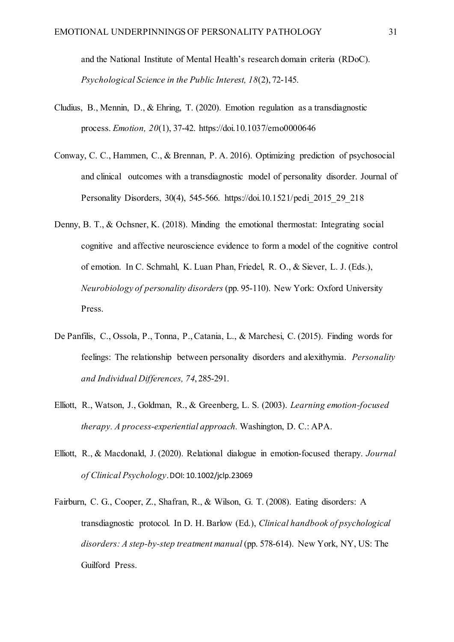and the National Institute of Mental Health's research domain criteria (RDoC). *Psychological Science in the Public Interest, 18*(2), 72-145.

- Cludius, B., Mennin, D., & Ehring, T. (2020). Emotion regulation as a transdiagnostic process. *Emotion, 20*(1), 37-42. https://doi.10.1037/emo0000646
- Conway, C. C., Hammen, C., & Brennan, P. A. 2016). Optimizing prediction of psychosocial and clinical outcomes with a transdiagnostic model of personality disorder. Journal of Personality Disorders, 30(4), 545-566. https://doi.10.1521/pedi\_2015\_29\_218
- Denny, B. T., & Ochsner, K. (2018). Minding the emotional thermostat: Integrating social cognitive and affective neuroscience evidence to form a model of the cognitive control of emotion. In C. Schmahl, K. Luan Phan, Friedel, R. O., & Siever, L. J. (Eds.), *Neurobiology of personality disorders* (pp. 95-110). New York: Oxford University Press.
- De Panfilis, C., Ossola, P., Tonna, P., Catania, L., & Marchesi, C. (2015). Finding words for feelings: The relationship between personality disorders and alexithymia. *Personality and Individual Differences, 74*, 285-291.
- Elliott, R., Watson, J., Goldman, R., & Greenberg, L. S. (2003). *Learning emotion-focused therapy. A process-experiential approach.* Washington, D. C.: APA.
- Elliott, R., & Macdonald, J. (2020). Relational dialogue in emotion‐focused therapy. *Journal of Clinical Psychology*.DOI: 10.1002/jclp.23069
- Fairburn, C. G., Cooper, Z., Shafran, R., & Wilson, G. T. (2008). Eating disorders: A transdiagnostic protocol. In D. H. Barlow (Ed.), *Clinical handbook of psychological disorders: A step-by-step treatment manual* (pp. 578-614). New York, NY, US: The Guilford Press.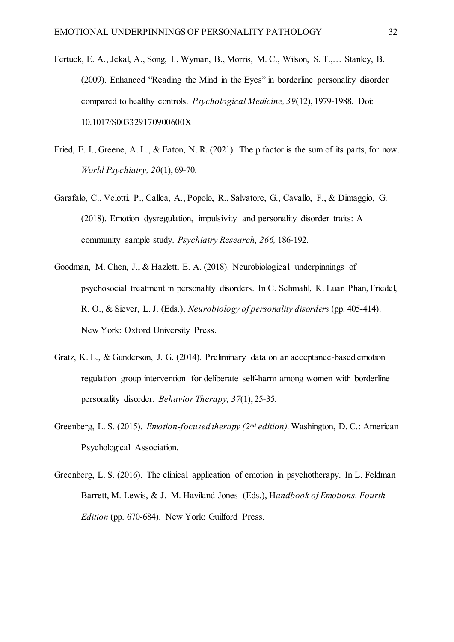- Fertuck, E. A., Jekal, A., Song, I., Wyman, B., Morris, M. C., Wilson, S. T.,… Stanley, B. (2009). Enhanced "Reading the Mind in the Eyes" in borderline personality disorder compared to healthy controls. *Psychological Medicine, 39*(12), 1979-1988. Doi: 10.1017/S003329170900600X
- Fried, E. I., Greene, A. L., & Eaton, N. R. (2021). The p factor is the sum of its parts, for now. *World Psychiatry, 20*(1), 69-70.
- Garafalo, C., Velotti, P., Callea, A., Popolo, R., Salvatore, G., Cavallo, F., & Dimaggio, G. (2018). Emotion dysregulation, impulsivity and personality disorder traits: A community sample study. *Psychiatry Research, 266,* 186-192.
- Goodman, M. Chen, J., & Hazlett, E. A. (2018). Neurobiological underpinnings of psychosocial treatment in personality disorders. In C. Schmahl, K. Luan Phan, Friedel, R. O., & Siever, L. J. (Eds.), *Neurobiology of personality disorders* (pp. 405-414). New York: Oxford University Press.
- Gratz, K. L., & Gunderson, J. G. (2014). Preliminary data on an acceptance-based emotion regulation group intervention for deliberate self-harm among women with borderline personality disorder. *Behavior Therapy, 37*(1), 25-35.
- Greenberg, L. S. (2015). *Emotion-focused therapy (2nd edition).* Washington, D. C.: American Psychological Association.
- Greenberg, L. S. (2016). The clinical application of emotion in psychotherapy. In L. Feldman Barrett, M. Lewis, & J. M. Haviland-Jones (Eds.), H*andbook of Emotions. Fourth Edition* (pp. 670-684). New York: Guilford Press.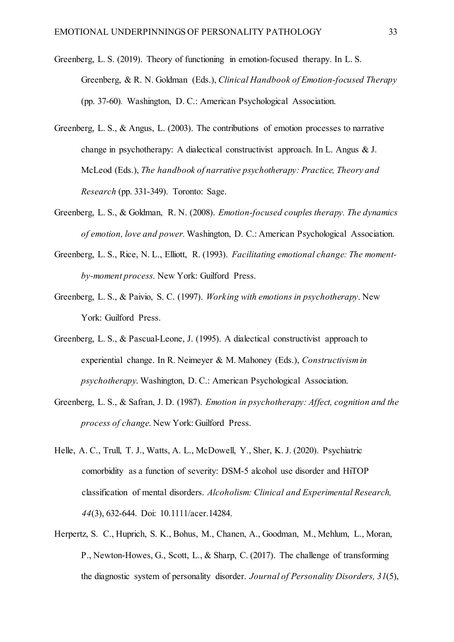- Greenberg, L. S. (2019). Theory of functioning in emotion-focused therapy. In L. S. Greenberg, & R. N. Goldman (Eds.), *Clinical Handbook of Emotion-focused Therapy* (pp. 37-60)*.* Washington, D. C.: American Psychological Association.
- Greenberg, L. S., & Angus, L. (2003). The contributions of emotion processes to narrative change in psychotherapy: A dialectical constructivist approach. In L. Angus & J. McLeod (Eds.), *The handbook of narrative psychotherapy: Practice, Theory and Research* (pp. 331-349). Toronto: Sage.
- Greenberg, L. S., & Goldman, R. N. (2008). *Emotion-focused couples therapy. The dynamics of emotion, love and power.*Washington, D. C.: American Psychological Association.
- Greenberg, L. S., Rice, N. L., Elliott, R. (1993). *Facilitating emotional change: The momentby-moment process.* New York: Guilford Press.
- Greenberg, L. S., & Paivio, S. C. (1997). *Working with emotions in psychotherapy*. New York: Guilford Press.
- Greenberg, L. S., & Pascual-Leone, J. (1995). A dialectical constructivist approach to experiential change. In R. Neimeyer & M. Mahoney (Eds.), *Constructivism in psychotherapy*. Washington, D. C.: American Psychological Association.
- Greenberg, L. S., & Safran, J. D. (1987). *Emotion in psychotherapy: Affect, cognition and the process of change*. New York: Guilford Press.
- Helle, A. C., Trull, T. J., Watts, A. L., McDowell, Y., Sher, K. J. (2020). Psychiatric comorbidity as a function of severity: DSM-5 alcohol use disorder and HiTOP classification of mental disorders. *Alcoholism: Clinical and Experimental Research, 44*(3), 632-644. Doi: 10.1111/acer.14284.
- Herpertz, S. C., Huprich, S. K., Bohus, M., Chanen, A., Goodman, M., Mehlum, L., Moran, P., Newton-Howes, G., Scott, L., & Sharp, C. (2017). The challenge of transforming the diagnostic system of personality disorder. *Journal of Personality Disorders, 31*(5),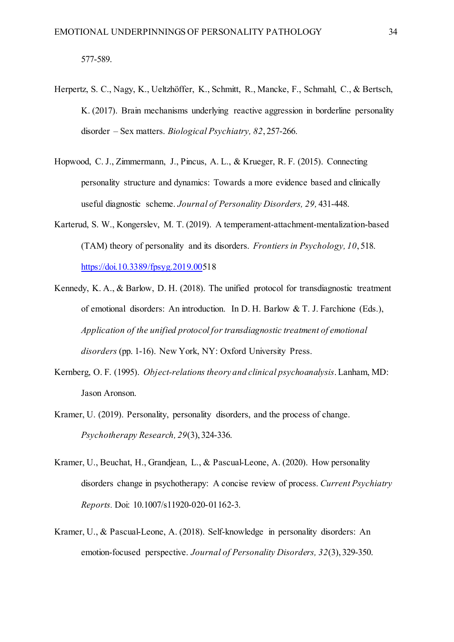- Herpertz, S. C., Nagy, K., Ueltzhöffer, K., Schmitt, R., Mancke, F., Schmahl, C., & Bertsch, K. (2017). Brain mechanisms underlying reactive aggression in borderline personality disorder – Sex matters. *Biological Psychiatry, 82*, 257-266.
- Hopwood, C. J., Zimmermann, J., Pincus, A. L., & Krueger, R. F. (2015). Connecting personality structure and dynamics: Towards a more evidence based and clinically useful diagnostic scheme. *Journal of Personality Disorders, 29,* 431-448.
- Karterud, S. W., Kongerslev, M. T. (2019). A temperament-attachment-mentalization-based (TAM) theory of personality and its disorders. *Frontiers in Psychology, 10*, 518. [https://doi.10.3389/fpsyg.2019.005](https://doi.10.3389/fpsyg.2019.00)18
- Kennedy, K. A., & Barlow, D. H. (2018). The unified protocol for transdiagnostic treatment of emotional disorders: An introduction. In D. H. Barlow & T. J. Farchione (Eds.), *Application of the unified protocol for transdiagnostic treatment of emotional disorders* (pp. 1-16). New York, NY: Oxford University Press.
- Kernberg, O. F. (1995). *Object-relations theory and clinical psychoanalysis*. Lanham, MD: Jason Aronson.
- Kramer, U. (2019). Personality, personality disorders, and the process of change. *Psychotherapy Research, 29*(3), 324-336.
- Kramer, U., Beuchat, H., Grandjean, L., & Pascual-Leone, A. (2020). How personality disorders change in psychotherapy: A concise review of process. *Current Psychiatry Reports.* Doi: 10.1007/s11920-020-01162-3.
- Kramer, U., & Pascual-Leone, A. (2018). Self-knowledge in personality disorders: An emotion-focused perspective. *Journal of Personality Disorders, 32*(3), 329-350.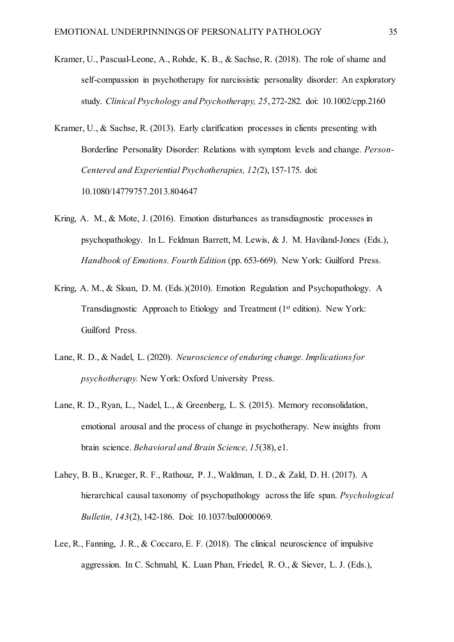- Kramer, U., Pascual-Leone, A., Rohde, K. B., & Sachse, R. (2018). The role of shame and self-compassion in psychotherapy for narcissistic personality disorder: An exploratory study. *Clinical Psychology and Psychotherapy, 25*, 272-282*.* doi: 10.1002/cpp.2160
- Kramer, U., & Sachse, R. (2013). Early clarification processes in clients presenting with Borderline Personality Disorder: Relations with symptom levels and change. *Person-Centered and Experiential Psychotherapies, 12(*2), 157-175. doi: 10.1080/14779757.2013.804647
- Kring, A. M., & Mote, J. (2016). Emotion disturbances as transdiagnostic processes in psychopathology. In L. Feldman Barrett, M. Lewis, & J. M. Haviland-Jones (Eds.), *Handbook of Emotions. Fourth Edition* (pp. 653-669). New York: Guilford Press.
- Kring, A. M., & Sloan, D. M. (Eds.)(2010). Emotion Regulation and Psychopathology. A Transdiagnostic Approach to Etiology and Treatment (1st edition). New York: Guilford Press.
- Lane, R. D., & Nadel, L. (2020). *Neuroscience of enduring change. Implications for psychotherapy.* New York: Oxford University Press.
- Lane, R. D., Ryan, L., Nadel, L., & Greenberg, L. S. (2015). Memory reconsolidation, emotional arousal and the process of change in psychotherapy. New insights from brain science. *Behavioral and Brain Science, 15*(38), e1.
- Lahey, B. B., Krueger, R. F., Rathouz, P. J., Waldman, I. D., & Zald, D. H. (2017). A hierarchical causal taxonomy of psychopathology across the life span. *Psychological Bulletin, 143*(2), 142-186. Doi: 10.1037/bul0000069.
- Lee, R., Fanning, J. R., & Coccaro, E. F. (2018). The clinical neuroscience of impulsive aggression. In C. Schmahl, K. Luan Phan, Friedel, R. O., & Siever, L. J. (Eds.),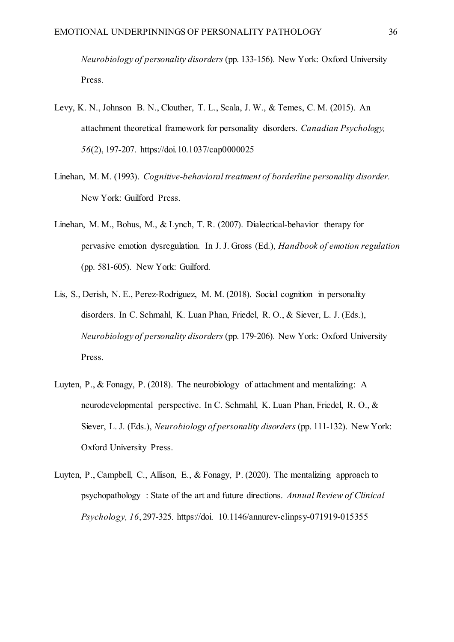*Neurobiology of personality disorders* (pp. 133-156). New York: Oxford University Press.

- Levy, K. N., Johnson B. N., Clouther, T. L., Scala, J. W., & Temes, C. M. (2015). An attachment theoretical framework for personality disorders. *Canadian Psychology, 56*(2), 197-207. https://doi.10.1037/cap0000025
- Linehan, M. M. (1993). *Cognitive-behavioral treatment of borderline personality disorder.*  New York: Guilford Press.
- Linehan, M. M., Bohus, M., & Lynch, T. R. (2007). Dialectical-behavior therapy for pervasive emotion dysregulation. In J. J. Gross (Ed.), *Handbook of emotion regulation* (pp. 581-605). New York: Guilford.
- Lis, S., Derish, N. E., Perez-Rodriguez, M. M. (2018). Social cognition in personality disorders. In C. Schmahl, K. Luan Phan, Friedel, R. O., & Siever, L. J. (Eds.), *Neurobiology of personality disorders* (pp. 179-206). New York: Oxford University Press.
- Luyten, P., & Fonagy, P. (2018). The neurobiology of attachment and mentalizing: A neurodevelopmental perspective. In C. Schmahl, K. Luan Phan, Friedel, R. O., & Siever, L. J. (Eds.), *Neurobiology of personality disorders* (pp. 111-132). New York: Oxford University Press.
- Luyten, P., Campbell, C., Allison, E., & Fonagy, P. (2020). The mentalizing approach to psychopathology : State of the art and future directions. *Annual Review of Clinical Psychology, 16*, 297-325. https://doi. 10.1146/annurev-clinpsy-071919-015355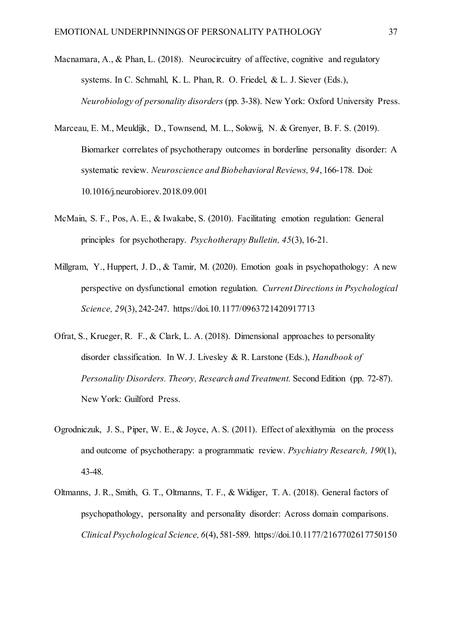- Macnamara, A., & Phan, L. (2018). Neurocircuitry of affective, cognitive and regulatory systems. In C. Schmahl, K. L. Phan, R. O. Friedel, & L. J. Siever (Eds.), *Neurobiology of personality disorders* (pp. 3-38). New York: Oxford University Press.
- Marceau, E. M., Meuldijk, D., Townsend, M. L., Solowij, N. & Grenyer, B. F. S. (2019). Biomarker correlates of psychotherapy outcomes in borderline personality disorder: A systematic review. *Neuroscience and Biobehavioral Reviews, 94*, 166-178. Doi: 10.1016/j.neurobiorev.2018.09.001
- McMain, S. F., Pos, A. E., & Iwakabe, S. (2010). Facilitating emotion regulation: General principles for psychotherapy. *Psychotherapy Bulletin, 45*(3), 16-21.
- Millgram, Y., Huppert, J. D., & Tamir, M. (2020). Emotion goals in psychopathology: A new perspective on dysfunctional emotion regulation. *Current Directions in Psychological Science, 29*(3), 242-247. https://doi.10.1177/0963721420917713
- Ofrat, S., Krueger, R. F., & Clark, L. A. (2018). Dimensional approaches to personality disorder classification. In W. J. Livesley & R. Larstone (Eds.), *Handbook of Personality Disorders. Theory, Research and Treatment.* Second Edition (pp. 72-87). New York: Guilford Press.
- Ogrodniczuk, J. S., Piper, W. E., & Joyce, A. S. (2011). Effect of alexithymia on the process and outcome of psychotherapy: a programmatic review. *Psychiatry Research, 190*(1), 43-48.
- Oltmanns, J. R., Smith, G. T., Oltmanns, T. F., & Widiger, T. A. (2018). General factors of psychopathology, personality and personality disorder: Across domain comparisons. *Clinical Psychological Science, 6*(4), 581-589. https://doi.10.1177/2167702617750150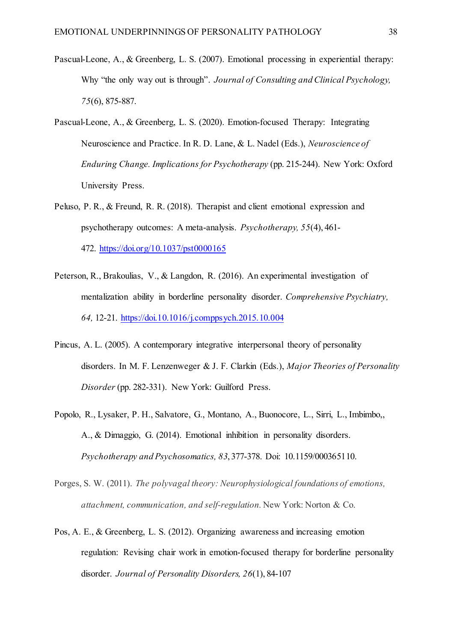- Pascual-Leone, A., & Greenberg, L. S. (2007). Emotional processing in experiential therapy: Why "the only way out is through". *Journal of Consulting and Clinical Psychology, 75*(6), 875-887.
- Pascual-Leone, A., & Greenberg, L. S. (2020). Emotion-focused Therapy: Integrating Neuroscience and Practice. In R. D. Lane, & L. Nadel (Eds.), *Neuroscience of Enduring Change. Implications for Psychotherapy* (pp. 215-244). New York: Oxford University Press.
- Peluso, P. R., & Freund, R. R. (2018). Therapist and client emotional expression and psychotherapy outcomes: A meta-analysis. *Psychotherapy, 55*(4), 461- 472. [https://doi.org/10.1037/pst0000165](https://psycnet.apa.org/doi/10.1037/pst0000165)
- Peterson, R., Brakoulias, V., & Langdon, R. (2016). An experimental investigation of mentalization ability in borderline personality disorder. *Comprehensive Psychiatry, 64,* 12-21.<https://doi.10.1016/j.comppsych.2015.10.004>
- Pincus, A. L. (2005). A contemporary integrative interpersonal theory of personality disorders. In M. F. Lenzenweger & J. F. Clarkin (Eds.), *Major Theories of Personality Disorder* (pp. 282-331). New York: Guilford Press.
- Popolo, R., Lysaker, P. H., Salvatore, G., Montano, A., Buonocore, L., Sirri, L., Imbimbo,, A., & Dimaggio, G. (2014). Emotional inhibition in personality disorders. *Psychotherapy and Psychosomatics, 83*, 377-378. Doi: 10.1159/000365110.
- Porges, S. W. (2011). *The polyvagal theory: Neurophysiological foundations of emotions, attachment, communication, and self-regulation.* New York: Norton & Co.
- Pos, A. E., & Greenberg, L. S. (2012). Organizing awareness and increasing emotion regulation: Revising chair work in emotion-focused therapy for borderline personality disorder. *Journal of Personality Disorders, 26*(1), 84-107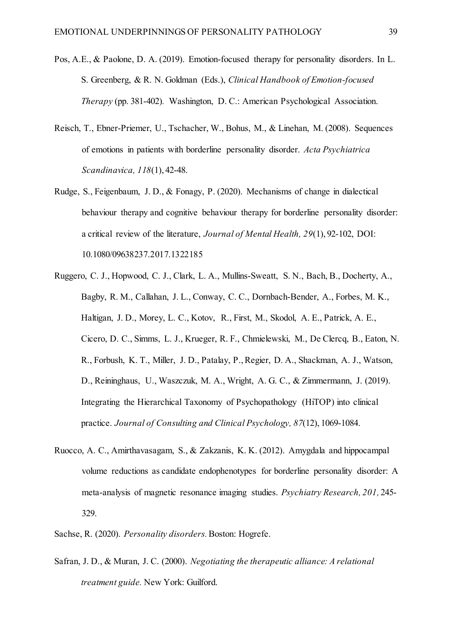- Pos, A.E., & Paolone, D. A. (2019). Emotion-focused therapy for personality disorders. In L. S. Greenberg, & R. N. Goldman (Eds.), *Clinical Handbook of Emotion-focused Therapy* (pp. 381-402)*.* Washington, D. C.: American Psychological Association.
- Reisch, T., Ebner‐Priemer, U., Tschacher, W., Bohus, M., & Linehan, M. (2008). Sequences of emotions in patients with borderline personality disorder. *Acta Psychiatrica Scandinavica, 118*(1), 42-48.
- Rudge, S., Feigenbaum, J. D., & Fonagy, P. (2020). Mechanisms of change in dialectical behaviour therapy and cognitive behaviour therapy for borderline personality disorder: a critical review of the literature, *Journal of Mental Health, 29*(1), 92-102, DOI: 10.1080/09638237.2017.1322185
- Ruggero, C. J., Hopwood, C. J., Clark, L. A., Mullins-Sweatt, S. N., Bach, B., Docherty, A., Bagby, R. M., Callahan, J. L., Conway, C. C., Dornbach-Bender, A., Forbes, M. K., Haltigan, J. D., Morey, L. C., Kotov, R., First, M., Skodol, A. E., Patrick, A. E., Cicero, D. C., Simms, L. J., Krueger, R. F., Chmielewski, M., De Clercq, B., Eaton, N. R., Forbush, K. T., Miller, J. D., Patalay, P., Regier, D. A., Shackman, A. J., Watson, D., Reininghaus, U., Waszczuk, M. A., Wright, A. G. C., & Zimmermann, J. (2019). Integrating the Hierarchical Taxonomy of Psychopathology (HiTOP) into clinical practice. *Journal of Consulting and Clinical Psychology, 87*(12), 1069-1084.
- Ruocco, A. C., Amirthavasagam, S., & Zakzanis, K. K. (2012). Amygdala and hippocampal volume reductions as candidate endophenotypes for borderline personality disorder: A meta-analysis of magnetic resonance imaging studies. *Psychiatry Research, 201,* 245- 329.
- Sachse, R. (2020). *Personality disorders.*Boston: Hogrefe.
- Safran, J. D., & Muran, J. C. (2000). *Negotiating the therapeutic alliance: A relational treatment guide.* New York: Guilford.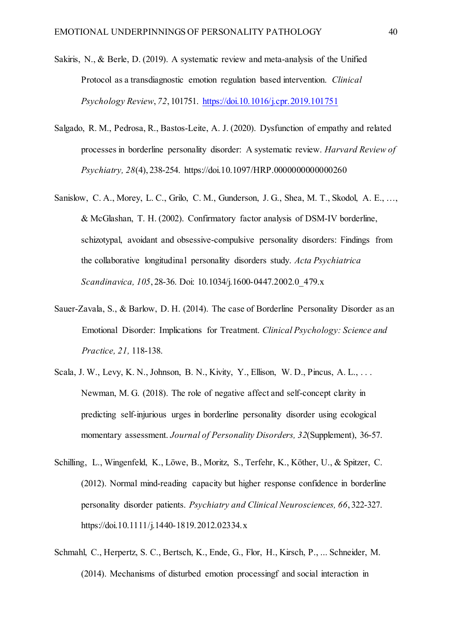- Sakiris, N., & Berle, D. (2019). A systematic review and meta-analysis of the Unified Protocol as a transdiagnostic emotion regulation based intervention. *Clinical Psychology Review*, *72*, 101751.<https://doi.10.1016/j.cpr.2019.101751>
- Salgado, R. M., Pedrosa, R., Bastos-Leite, A. J. (2020). Dysfunction of empathy and related processes in borderline personality disorder: A systematic review. *Harvard Review of Psychiatry, 28*(4), 238-254. https://doi.10.1097/HRP.0000000000000260
- Sanislow, C. A., Morey, L. C., Grilo, C. M., Gunderson, J. G., Shea, M. T., Skodol, A. E., …, & McGlashan, T. H. (2002). Confirmatory factor analysis of DSM-IV borderline, schizotypal, avoidant and obsessive-compulsive personality disorders: Findings from the collaborative longitudinal personality disorders study. *Acta Psychiatrica Scandinavica, 105*, 28-36. Doi: 10.1034/j.1600-0447.2002.0\_479.x
- Sauer-Zavala, S., & Barlow, D. H. (2014). The case of Borderline Personality Disorder as an Emotional Disorder: Implications for Treatment. *Clinical Psychology: Science and Practice, 21,* 118-138.
- Scala, J. W., Levy, K. N., Johnson, B. N., Kivity, Y., Ellison, W. D., Pincus, A. L., . . . Newman, M. G. (2018). The role of negative affect and self-concept clarity in predicting self-injurious urges in borderline personality disorder using ecological momentary assessment. *Journal of Personality Disorders, 32*(Supplement), 36-57.
- Schilling, L., Wingenfeld, K., Löwe, B., Moritz, S., Terfehr, K., Köther, U., & Spitzer, C. (2012). Normal mind-reading capacity but higher response confidence in borderline personality disorder patients. *Psychiatry and Clinical Neurosciences, 66*, 322-327. https://doi.10.1111/j.1440-1819.2012.02334.x
- Schmahl, C., Herpertz, S. C., Bertsch, K., Ende, G., Flor, H., Kirsch, P., ... Schneider, M. (2014). Mechanisms of disturbed emotion processingf and social interaction in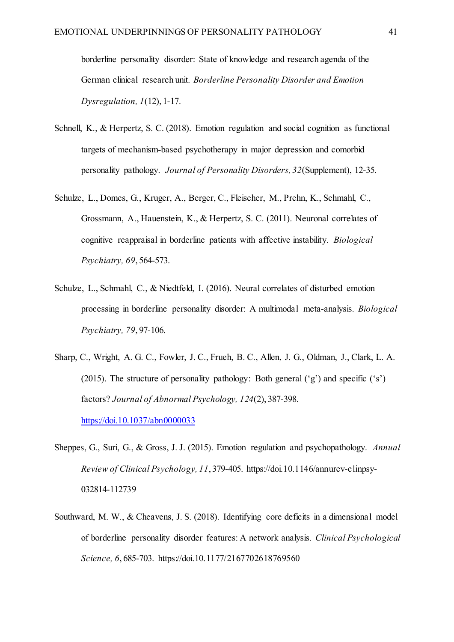borderline personality disorder: State of knowledge and research agenda of the German clinical research unit. *Borderline Personality Disorder and Emotion Dysregulation, 1*(12), 1-17.

- Schnell, K., & Herpertz, S. C. (2018). Emotion regulation and social cognition as functional targets of mechanism-based psychotherapy in major depression and comorbid personality pathology. *Journal of Personality Disorders, 32*(Supplement), 12-35.
- Schulze, L., Domes, G., Kruger, A., Berger, C., Fleischer, M., Prehn, K., Schmahl, C., Grossmann, A., Hauenstein, K., & Herpertz, S. C. (2011). Neuronal correlates of cognitive reappraisal in borderline patients with affective instability. *Biological Psychiatry, 69*, 564-573.
- Schulze, L., Schmahl, C., & Niedtfeld, I. (2016). Neural correlates of disturbed emotion processing in borderline personality disorder: A multimodal meta-analysis. *Biological Psychiatry, 79*, 97-106.
- Sharp, C., Wright, A. G. C., Fowler, J. C., Frueh, B. C., Allen, J. G., Oldman, J., Clark, L. A. (2015). The structure of personality pathology: Both general ('g') and specific ('s') factors? *Journal of Abnormal Psychology, 124*(2), 387-398. <https://doi.10.1037/abn0000033>
- Sheppes, G., Suri, G., & Gross, J. J. (2015). Emotion regulation and psychopathology. *Annual Review of Clinical Psychology, 11*, 379-405. https://doi.10.1146/annurev-clinpsy-032814-112739
- Southward, M. W., & Cheavens, J. S. (2018). Identifying core deficits in a dimensional model of borderline personality disorder features: A network analysis. *Clinical Psychological Science, 6*, 685-703. https://doi.10.1177/2167702618769560